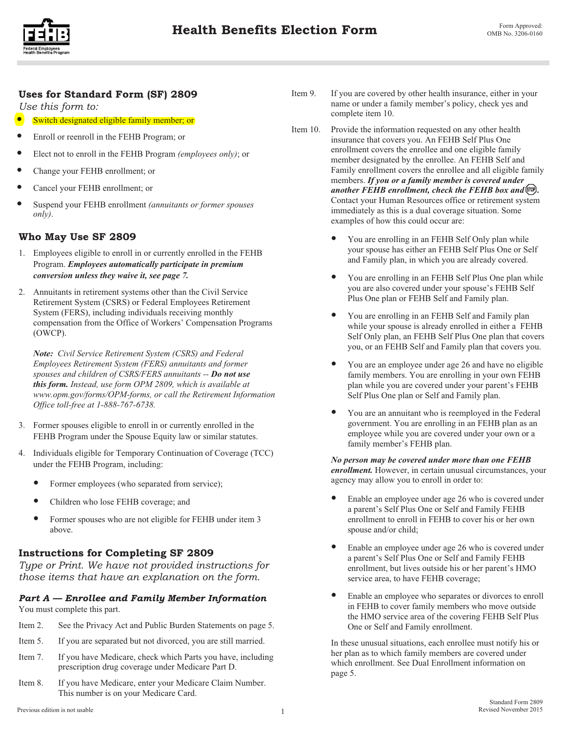

# **Uses for Standard Form (SF) 2809**

*Use this form to:* 

- Switch designated eligible family member; or
- Enroll or reenroll in the FEHB Program; or
- Elect not to enroll in the FEHB Program *(employees only)*; or
- Change your FEHB enrollment; or
- Cancel your FEHB enrollment; or
- Suspend your FEHB enrollment *(annuitants or former spouses only)*.

# **Who May Use SF 2809**

- 1. Employees eligible to enroll in or currently enrolled in the FEHB Program. *Employees automatically participate in premium conversion unless they waive it, see page 7.*
- 2. Annuitants in retirement systems other than the Civil Service Retirement System (CSRS) or Federal Employees Retirement System (FERS), including individuals receiving monthly compensation from the Office of Workers' Compensation Programs (OWCP).

*Note: Civil Service Retirement System (CSRS) and Federal Employees Retirement System (FERS) annuitants and former spouses and children of CSRS/FERS annuitants -- Do not use this form. Instead, use form OPM 2809, which is available at www.opm.gov/forms/OPM-forms, or call the Retirement Information Office toll-free at 1-888-767-6738.* 

- 3. Former spouses eligible to enroll in or currently enrolled in the FEHB Program under the Spouse Equity law or similar statutes.
- 4. Individuals eligible for Temporary Continuation of Coverage (TCC) under the FEHB Program, including:
	- Former employees (who separated from service);
	- Children who lose FEHB coverage; and
	- Former spouses who are not eligible for FEHB under item 3 above.

# **Instructions for Completing SF 2809**

*Type or Print. We have not provided instructions for those items that have an explanation on the form.* 

### *Part A — Enrollee and Family Member Information*  You must complete this part.

- Item 2. See the Privacy Act and Public Burden Statements on page 5.
- Item 5. If you are separated but not divorced, you are still married.
- Item 7. If you have Medicare, check which Parts you have, including prescription drug coverage under Medicare Part D.
- Item 8. If you have Medicare, enter your Medicare Claim Number. This number is on your Medicare Card.
- Item 9. If you are covered by other health insurance, either in your name or under a family member's policy, check yes and complete item 10.
- Item 10. Provide the information requested on any other health insurance that covers you. An FEHB Self Plus One enrollment covers the enrollee and one eligible family member designated by the enrollee. An FEHB Self and Family enrollment covers the enrollee and all eligible family members. *If you or a family member is covered under* another FEHB enrollment, check the FEHB box and  $\mathbb{R}$ . Contact your Human Resources office or retirement system immediately as this is a dual coverage situation. Some examples of how this could occur are:
	- You are enrolling in an FEHB Self Only plan while your spouse has either an FEHB Self Plus One or Self and Family plan, in which you are already covered.
	- You are enrolling in an FEHB Self Plus One plan while you are also covered under your spouse's FEHB Self Plus One plan or FEHB Self and Family plan.
	- You are enrolling in an FEHB Self and Family plan while your spouse is already enrolled in either a FEHB Self Only plan, an FEHB Self Plus One plan that covers you, or an FEHB Self and Family plan that covers you.
	- You are an employee under age 26 and have no eligible family members. You are enrolling in your own FEHB plan while you are covered under your parent's FEHB Self Plus One plan or Self and Family plan.
	- You are an annuitant who is reemployed in the Federal government. You are enrolling in an FEHB plan as an employee while you are covered under your own or a family member's FEHB plan.

### *No person may be covered under more than one FEHB enrollment.* However, in certain unusual circumstances, your agency may allow you to enroll in order to:

- Enable an employee under age 26 who is covered under a parent's Self Plus One or Self and Family FEHB enrollment to enroll in FEHB to cover his or her own spouse and/or child;
- Enable an employee under age 26 who is covered under a parent's Self Plus One or Self and Family FEHB enrollment, but lives outside his or her parent's HMO service area, to have FEHB coverage;
- Enable an employee who separates or divorces to enroll in FEHB to cover family members who move outside the HMO service area of the covering FEHB Self Plus One or Self and Family enrollment.

In these unusual situations, each enrollee must notify his or her plan as to which family members are covered under which enrollment. See Dual Enrollment information on page 5.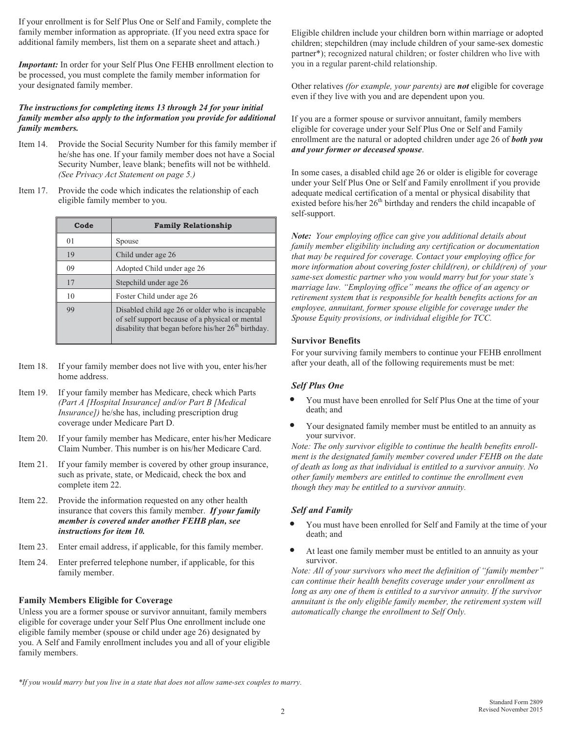If your enrollment is for Self Plus One or Self and Family, complete the family member information as appropriate. (If you need extra space for additional family members, list them on a separate sheet and attach.)

*Important:* In order for your Self Plus One FEHB enrollment election to be processed, you must complete the family member information for your designated family member.

### *The instructions for completing items 13 through 24 for your initial family member also apply to the information you provide for additional family members.*

- Item 14. Provide the Social Security Number for this family member if he/she has one. If your family member does not have a Social Security Number, leave blank; benefits will not be withheld. *(See Privacy Act Statement on page 5.)*
- Item 17. Provide the code which indicates the relationship of each eligible family member to you.

| Code | <b>Family Relationship</b>                                                                                                                                            |
|------|-----------------------------------------------------------------------------------------------------------------------------------------------------------------------|
| 01   | Spouse                                                                                                                                                                |
| 19   | Child under age 26                                                                                                                                                    |
| 09   | Adopted Child under age 26                                                                                                                                            |
| 17   | Stepchild under age 26                                                                                                                                                |
| 10   | Foster Child under age 26                                                                                                                                             |
| 99   | Disabled child age 26 or older who is incapable<br>of self support because of a physical or mental<br>disability that began before his/her 26 <sup>th</sup> birthday. |

- Item 18. If your family member does not live with you, enter his/her home address.
- Item 19. If your family member has Medicare, check which Parts *(Part A [Hospital Insurance] and/or Part B [Medical Insurance])* he/she has, including prescription drug coverage under Medicare Part D.
- Item 20. If your family member has Medicare, enter his/her Medicare Claim Number. This number is on his/her Medicare Card.
- Item 21. If your family member is covered by other group insurance, such as private, state, or Medicaid, check the box and complete item 22.
- Item 22. Provide the information requested on any other health insurance that covers this family member. *If your family member is covered under another FEHB plan, see instructions for item 10.*
- Item 23. Enter email address, if applicable, for this family member.
- Item 24. Enter preferred telephone number, if applicable, for this family member.

Unless you are a former spouse or survivor annuitant, family members eligible for coverage under your Self Plus One enrollment include one eligible family member (spouse or child under age 26) designated by you. A Self and Family enrollment includes you and all of your eligible family members.

Eligible children include your children born within marriage or adopted children; stepchildren (may include children of your same-sex domestic partner\*); recognized natural children; or foster children who live with you in a regular parent-child relationship.

Other relatives *(for example, your parents)* are *not* eligible for coverage even if they live with you and are dependent upon you.

If you are a former spouse or survivor annuitant, family members eligible for coverage under your Self Plus One or Self and Family enrollment are the natural or adopted children under age 26 of *both you and your former or deceased spouse*.

In some cases, a disabled child age 26 or older is eligible for coverage under your Self Plus One or Self and Family enrollment if you provide adequate medical certification of a mental or physical disability that existed before his/her 26<sup>th</sup> birthday and renders the child incapable of self-support.

*Note: Your employing office can give you additional details about family member eligibility including any certification or documentation that may be required for coverage. Contact your employing office for more information about* c*overing foster child(ren), or child(ren) of your same-sex domestic partner who you would marry but for your state's marriage law. "Employing office" means the office of an agency or retirement system that is responsible for health benefits actions for an employee, annuitant, former spouse eligible for coverage under the Spouse Equity provisions, or individual eligible for TCC.* 

For your surviving family members to continue your FEHB enrollment after your death, all of the following requirements must be met:

### *Self Plus One*

- You must have been enrolled for Self Plus One at the time of your death; and
- Your designated family member must be entitled to an annuity as your survivor.

*Note: The only survivor eligible to continue the health benefits enrollment is the designated family member covered under FEHB on the date of death as long as that individual is entitled to a survivor annuity. No other family members are entitled to continue the enrollment even though they may be entitled to a survivor annuity.* 

### *Self and Family*

- You must have been enrolled for Self and Family at the time of your death; and
- At least one family member must be entitled to an annuity as your survivor.

*Note: All of your survivors who meet the definition of "family member" can continue their health benefits coverage under your enrollment as long as any one of them is entitled to a survivor annuity. If the survivor annuitant is the only eligible family member, the retirement system will automatically change the enrollment to Self Only.* 

*\*If you would marry but you live in a state that does not allow same-sex couples to marry.*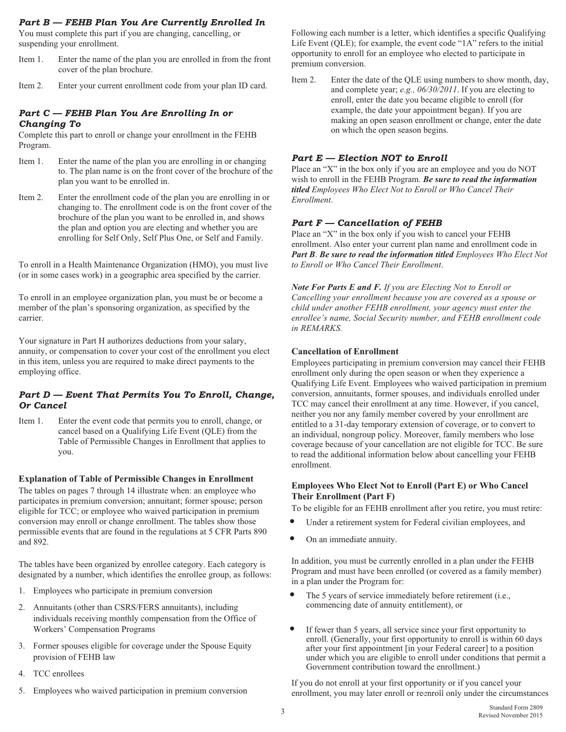### *Part B — FEHB Plan You Are Currently Enrolled In*

You must complete this part if you are changing, cancelling, or suspending your enrollment.

- Item 1. Enter the name of the plan you are enrolled in from the front cover of the plan brochure.
- Item 2. Enter your current enrollment code from your plan ID card.

### *Part C — FEHB Plan You Are Enrolling In or Changing To*

Complete this part to enroll or change your enrollment in the FEHB Program.

- Item 1. Enter the name of the plan you are enrolling in or changing to. The plan name is on the front cover of the brochure of the plan you want to be enrolled in.
- Item 2. Enter the enrollment code of the plan you are enrolling in or changing to. The enrollment code is on the front cover of the brochure of the plan you want to be enrolled in, and shows the plan and option you are electing and whether you are enrolling for Self Only, Self Plus One, or Self and Family.

To enroll in a Health Maintenance Organization (HMO), you must live (or in some cases work) in a geographic area specified by the carrier.

To enroll in an employee organization plan, you must be or become a member of the plan's sponsoring organization, as specified by the carrier.

Your signature in Part H authorizes deductions from your salary, annuity, or compensation to cover your cost of the enrollment you elect in this item, unless you are required to make direct payments to the employing office.

### *Part D — Event That Permits You To Enroll, Change, Or Cancel*

Item 1. Enter the event code that permits you to enroll, change, or cancel based on a Qualifying Life Event (QLE) from the Table of Permissible Changes in Enrollment that applies to you.

The tables on pages 7 through 14 illustrate when: an employee who participates in premium conversion; annuitant; former spouse; person eligible for TCC; or employee who waived participation in premium conversion may enroll or change enrollment. The tables show those permissible events that are found in the regulations at 5 CFR Parts 890 and 892.

The tables have been organized by enrollee category. Each category is designated by a number, which identifies the enrollee group, as follows:

- 1. Employees who participate in premium conversion
- 2. Annuitants (other than CSRS/FERS annuitants), including individuals receiving monthly compensation from the Office of Workers' Compensation Programs
- 3. Former spouses eligible for coverage under the Spouse Equity provision of FEHB law
- 4. TCC enrollees
- 5. Employees who waived participation in premium conversion

Following each number is a letter, which identifies a specific Qualifying Life Event (QLE); for example, the event code "1A" refers to the initial opportunity to enroll for an employee who elected to participate in premium conversion.

Item 2. Enter the date of the QLE using numbers to show month, day, and complete year; *e.g., 06/30/2011*. If you are electing to enroll, enter the date you became eligible to enroll (for example, the date your appointment began). If you are making an open season enrollment or change, enter the date on which the open season begins.

### *Part E — Election NOT to Enroll*

Place an "X" in the box only if you are an employee and you do NOT wish to enroll in the FEHB Program. *Be sure to read the information titled Employees Who Elect Not to Enroll or Who Cancel Their Enrollment*.

### *Part F — Cancellation of FEHB*

Place an "X" in the box only if you wish to cancel your FEHB enrollment. Also enter your current plan name and enrollment code in *Part B*. *Be sure to read the information titled Employees Who Elect Not to Enroll or Who Cancel Their Enrollment*.

*Note For Parts E and F. If you are Electing Not to Enroll or Cancelling your enrollment because you are covered as a spouse or child under another FEHB enrollment, your agency must enter the enrollee's name, Social Security number, and FEHB enrollment code in REMARKS.* 

### **Cancellation of Enrollment**

Employees participating in premium conversion may cancel their FEHB enrollment only during the open season or when they experience a Qualifying Life Event. Employees who waived participation in premium conversion, annuitants, former spouses, and individuals enrolled under TCC may cancel their enrollment at any time. However, if you cancel, neither you nor any family member covered by your enrollment are entitled to a 31-day temporary extension of coverage, or to convert to an individual, nongroup policy. Moreover, family members who lose coverage because of your cancellation are not eligible for TCC. Be sure to read the additional information below about cancelling your FEHB enrollment.

# **Employees Who Elect Not to Enroll (Part E) or Who Cancel**

To be eligible for an FEHB enrollment after you retire, you must retire:

- Under a retirement system for Federal civilian employees, and
- On an immediate annuity.

In addition, you must be currently enrolled in a plan under the FEHB Program and must have been enrolled (or covered as a family member) in a plan under the Program for:

- The 5 years of service immediately before retirement (i.e., commencing date of annuity entitlement), or
- If fewer than 5 years, all service since your first opportunity to enroll. (Generally, your first opportunity to enroll is within 60 days after your first appointment [in your Federal career] to a position under which you are eligible to enroll under conditions that permit a Government contribution toward the enrollment.)

If you do not enroll at your first opportunity or if you cancel your enrollment, you may later enroll or reenroll only under the circumstances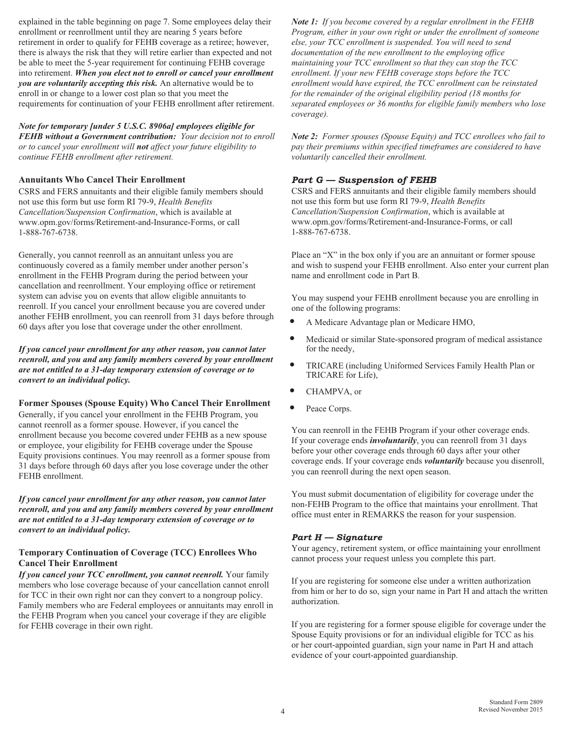explained in the table beginning on page 7. Some employees delay their enrollment or reenrollment until they are nearing 5 years before retirement in order to qualify for FEHB coverage as a retiree; however, there is always the risk that they will retire earlier than expected and not be able to meet the 5-year requirement for continuing FEHB coverage into retirement. *When you elect not to enroll or cancel your enrollment you are voluntarily accepting this risk.* An alternative would be to enroll in or change to a lower cost plan so that you meet the requirements for continuation of your FEHB enrollment after retirement.

*Note for temporary [under 5 U.S.C. 8906a] employees eligible for FEHB without a Government contribution: Your decision not to enroll or to cancel your enrollment will not affect your future eligibility to continue FEHB enrollment after retirement.* 

**Annuitants Who Cancel Their Enrollment**  CSRS and FERS annuitants and their eligible family members should not use this form but use form RI 79-9, *Health Benefits Cancellation/Suspension Confirmation*, which is available at www.opm.gov/forms/Retirement-and-Insurance-Forms, or call 1-888-767-6738.

Generally, you cannot reenroll as an annuitant unless you are continuously covered as a family member under another person's enrollment in the FEHB Program during the period between your cancellation and reenrollment. Your employing office or retirement system can advise you on events that allow eligible annuitants to reenroll. If you cancel your enrollment because you are covered under another FEHB enrollment, you can reenroll from 31 days before through 60 days after you lose that coverage under the other enrollment.

*If you cancel your enrollment for any other reason, you cannot later reenroll, and you and any family members covered by your enrollment are not entitled to a 31-day temporary extension of coverage or to convert to an individual policy.* 

**Former Spouses (Spouse Equity) Who Cancel Their Enrollment**  Generally, if you cancel your enrollment in the FEHB Program, you cannot reenroll as a former spouse. However, if you cancel the enrollment because you become covered under FEHB as a new spouse or employee, your eligibility for FEHB coverage under the Spouse Equity provisions continues. You may reenroll as a former spouse from 31 days before through 60 days after you lose coverage under the other FEHB enrollment.

*If you cancel your enrollment for any other reason, you cannot later reenroll, and you and any family members covered by your enrollment are not entitled to a 31-day temporary extension of coverage or to convert to an individual policy.* 

# **Temporary Continuation of Coverage (TCC) Enrollees Who**

**Cancel Their Enrollment**  *If you cancel your TCC enrollment, you cannot reenroll.* Your family members who lose coverage because of your cancellation cannot enroll for TCC in their own right nor can they convert to a nongroup policy. Family members who are Federal employees or annuitants may enroll in the FEHB Program when you cancel your coverage if they are eligible for FEHB coverage in their own right.

*Note 1: If you become covered by a regular enrollment in the FEHB Program, either in your own right or under the enrollment of someone else, your TCC enrollment is suspended. You will need to send documentation of the new enrollment to the employing office maintaining your TCC enrollment so that they can stop the TCC enrollment. If your new FEHB coverage stops before the TCC enrollment would have expired, the TCC enrollment can be reinstated for the remainder of the original eligibility period (18 months for separated employees or 36 months for eligible family members who lose coverage).* 

*Note 2: Former spouses (Spouse Equity) and TCC enrollees who fail to pay their premiums within specified timeframes are considered to have voluntarily cancelled their enrollment.* 

### *Part G — Suspension of FEHB*

CSRS and FERS annuitants and their eligible family members should not use this form but use form RI 79-9, *Health Benefits Cancellation/Suspension Confirmation*, which is available at www.opm.gov/forms/Retirement-and-Insurance-Forms, or call 1-888-767-6738.

Place an "X" in the box only if you are an annuitant or former spouse and wish to suspend your FEHB enrollment. Also enter your current plan name and enrollment code in Part B.

You may suspend your FEHB enrollment because you are enrolling in one of the following programs:

- A Medicare Advantage plan or Medicare HMO,
- Medicaid or similar State-sponsored program of medical assistance for the needy,
- TRICARE (including Uniformed Services Family Health Plan or TRICARE for Life),
- CHAMPVA, or
- Peace Corps.

You can reenroll in the FEHB Program if your other coverage ends. If your coverage ends *involuntarily*, you can reenroll from 31 days before your other coverage ends through 60 days after your other coverage ends. If your coverage ends *voluntarily* because you disenroll, you can reenroll during the next open season.

You must submit documentation of eligibility for coverage under the non-FEHB Program to the office that maintains your enrollment. That office must enter in REMARKS the reason for your suspension.

Your agency, retirement system, or office maintaining your enrollment cannot process your request unless you complete this part.

If you are registering for someone else under a written authorization from him or her to do so, sign your name in Part H and attach the written authorization.

If you are registering for a former spouse eligible for coverage under the Spouse Equity provisions or for an individual eligible for TCC as his or her court-appointed guardian, sign your name in Part H and attach evidence of your court-appointed guardianship.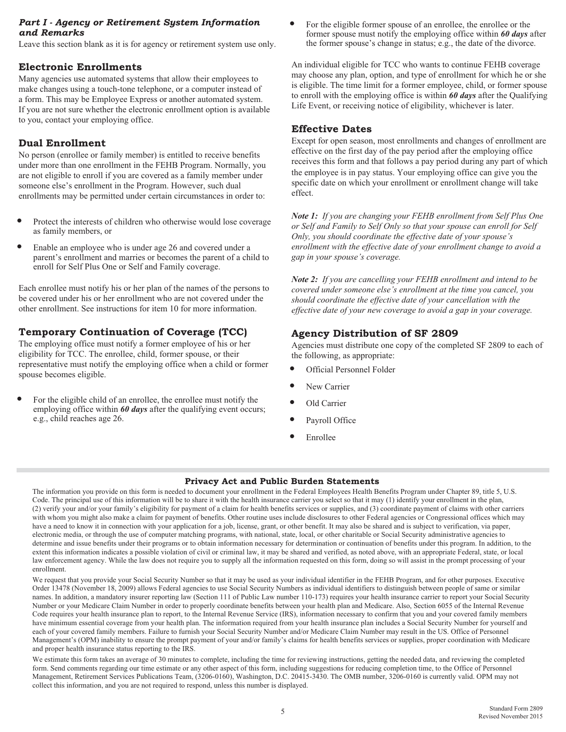### *Part I - Agency or Retirement System Information*  **Part I - Agency or Retirement System Information** • For the eligible former spouse of an enrollee, the enrollee or the **and Remarks** *and Remarks*

Leave this section blank as it is for agency or retirement system use only. The former spouse's change in status; e.g., the date of the divorce.

### **Electronic Enrollments**

Many agencies use automated systems that allow their employees to make changes using a touch-tone telephone, or a computer instead of a form. This may be Employee Express or another automated system. If you are not sure whether the electronic enrollment option is available to you, contact your employing office.

### **Dual Enrollment**

No person (enrollee or family member) is entitled to receive benefits under more than one enrollment in the FEHB Program. Normally, you are not eligible to enroll if you are covered as a family member under someone else's enrollment in the Program. However, such dual enrollments may be permitted under certain circumstances in order to:

- Protect the interests of children who otherwise would lose coverage as family members, or
- Enable an employee who is under age 26 and covered under a parent's enrollment and marries or becomes the parent of a child to enroll for Self Plus One or Self and Family coverage.

Each enrollee must notify his or her plan of the names of the persons to be covered under his or her enrollment who are not covered under the other enrollment. See instructions for item 10 for more information.

# **Temporary Continuation of Coverage (TCC)**

The employing office must notify a former employee of his or her eligibility for TCC. The enrollee, child, former spouse, or their representative must notify the employing office when a child or former spouse becomes eligible.

For the eligible child of an enrollee, the enrollee must notify the employing office within **60 days** after the qualifying event occurs; e.g., child reaches age 26.

former spouse must notify the employing office within *60 days* after

An individual eligible for TCC who wants to continue FEHB coverage may choose any plan, option, and type of enrollment for which he or she is eligible. The time limit for a former employee, child, or former spouse to enroll with the employing office is within *60 days* after the Qualifying Life Event, or receiving notice of eligibility, whichever is later.

# **Effective Dates**

Except for open season, most enrollments and changes of enrollment are effective on the first day of the pay period after the employing office receives this form and that follows a pay period during any part of which the employee is in pay status. Your employing office can give you the specific date on which your enrollment or enrollment change will take effect.

*Note 1: If you are changing your FEHB enrollment from Self Plus One or Self and Family to Self Only so that your spouse can enroll for Self Only, you should coordinate the effective date of your spouse's enrollment with the effective date of your enrollment change to avoid a gap in your spouse's coverage.* 

*Note 2: If you are cancelling your FEHB enrollment and intend to be covered under someone else's enrollment at the time you cancel, you should coordinate the effective date of your cancellation with the effective date of your new coverage to avoid a gap in your coverage.* 

# **Agency Distribution of SF 2809**

Agencies must distribute one copy of the completed SF 2809 to each of the following, as appropriate:

- Official Personnel Folder
- New Carrier
- Old Carrier
- Payroll Office
- **Enrollee**

### **Privacy Act and Public Burden Statements**

The information you provide on this form is needed to document your enrollment in the Federal Employees Health Benefits Program under Chapter 89, title 5, U.S. Code. The principal use of this information will be to share it with the health insurance carrier you select so that it may (1) identify your enrollment in the plan, (2) verify your and/or your family's eligibility for payment of a claim for health benefits services or supplies, and (3) coordinate payment of claims with other carriers with whom you might also make a claim for payment of benefits. Other routine uses include disclosures to other Federal agencies or Congressional offices which may have a need to know it in connection with your application for a job, license, grant, or other benefit. It may also be shared and is subject to verification, via paper, electronic media, or through the use of computer matching programs, with national, state, local, or other charitable or Social Security administrative agencies to determine and issue benefits under their programs or to obtain information necessary for determination or continuation of benefits under this program. In addition, to the extent this information indicates a possible violation of civil or criminal law, it may be shared and verified, as noted above, with an appropriate Federal, state, or local law enforcement agency. While the law does not require you to supply all the information requested on this form, doing so will assist in the prompt processing of your enrollment.

We request that you provide your Social Security Number so that it may be used as your individual identifier in the FEHB Program, and for other purposes. Executive Order 13478 (November 18, 2009) allows Federal agencies to use Social Security Numbers as individual identifiers to distinguish between people of same or similar names. In addition, a mandatory insurer reporting law (Section 111 of Public Law number 110-173) requires your health insurance carrier to report your Social Security Number or your Medicare Claim Number in order to properly coordinate benefits between your health plan and Medicare. Also, Section 6055 of the Internal Revenue Code requires your health insurance plan to report, to the Internal Revenue Service (IRS), information necessary to confirm that you and your covered family members have minimum essential coverage from your health plan. The information required from your health insurance plan includes a Social Security Number for yourself and each of your covered family members. Failure to furnish your Social Security Number and/or Medicare Claim Number may result in the US. Office of Personnel Management's (OPM) inability to ensure the prompt payment of your and/or family's claims for health benefits services or supplies, proper coordination with Medicare and proper health insurance status reporting to the IRS.

We estimate this form takes an average of 30 minutes to complete, including the time for reviewing instructions, getting the needed data, and reviewing the completed form. Send comments regarding our time estimate or any other aspect of this form, including suggestions for reducing completion time, to the Office of Personnel Management, Retirement Services Publications Team, (3206-0160), Washington, D.C. 20415-3430. The OMB number, 3206-0160 is currently valid. OPM may not collect this information, and you are not required to respond, unless this number is displayed.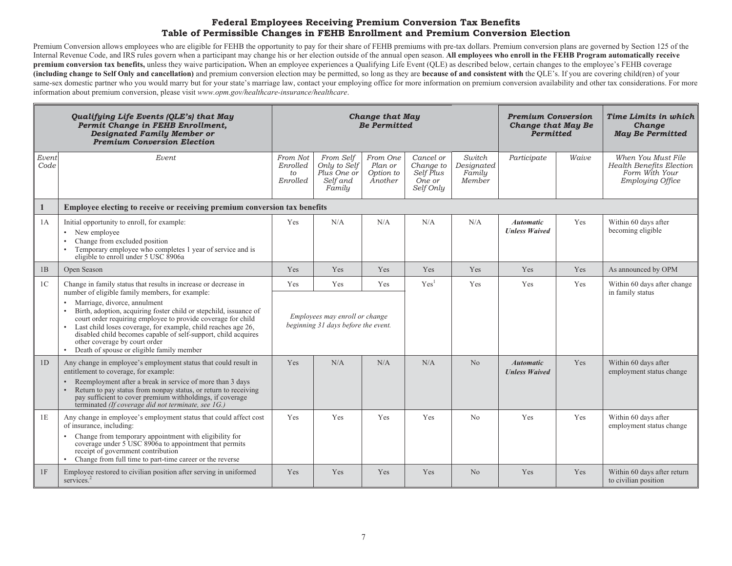### **Federal Employees Receiving Premium Conversion Tax Benefits Table of Permissible Changes in FEHB Enrollment and Premium Conversion Election**

Premium Conversion allows employees who are eligible for FEHB the opportunity to pay for their share of FEHB premiums with pre-tax dollars. Premium conversion plans are governed by Section 125 of the Internal Revenue Code, and IRS rules govern when a participant may change his or her election outside of the annual open season. **All employees who enroll in the FEHB Program automatically receive premium conversion tax benefits,** unless they waive participation. When an employee experiences a Qualifying Life Event (QLE) as described below, certain changes to the employee's FEHB coverage **(including change to Self Only and cancellation)** and premium conversion election may be permitted, so long as they are **because of and consistent with** the QLE's. If you are covering child(ren) of your same-sex domestic partner who you would marry but for your state's marriage law, contact your employing office for more information on premium conversion availability and other tax considerations. For more information about premium conversion, please visit *www.opm.gov/healthcare-insurance/healthcare*.

| Qualifying Life Events (QLE's) that May<br>Permit Change in FEHB Enrollment,<br><b>Designated Family Member or</b><br><b>Premium Conversion Election</b> |                                                                                                                                                                                                                                                                                                                                                                                                                                                                                                                                                 |                                                                                            |                                                                | <b>Change that May</b><br><b>Be Permitted</b> |                                                            | <b>Premium Conversion</b><br><b>Change that May Be</b><br><b>Permitted</b> |                                          | Time Limits in which<br>Change<br><b>May Be Permitted</b> |                                                                                                    |
|----------------------------------------------------------------------------------------------------------------------------------------------------------|-------------------------------------------------------------------------------------------------------------------------------------------------------------------------------------------------------------------------------------------------------------------------------------------------------------------------------------------------------------------------------------------------------------------------------------------------------------------------------------------------------------------------------------------------|--------------------------------------------------------------------------------------------|----------------------------------------------------------------|-----------------------------------------------|------------------------------------------------------------|----------------------------------------------------------------------------|------------------------------------------|-----------------------------------------------------------|----------------------------------------------------------------------------------------------------|
| Event<br>Code                                                                                                                                            | Event                                                                                                                                                                                                                                                                                                                                                                                                                                                                                                                                           | From Not<br>Enrolled<br>to<br>Enrolled                                                     | From Self<br>Only to Self<br>Plus One or<br>Self and<br>Family | From One<br>Plan or<br>Option to<br>Another   | Cancel or<br>Change to<br>Self Plus<br>One or<br>Self Only | Switch<br>Designated<br>Familu<br>Member                                   | Participate                              | Waive                                                     | When You Must File<br><b>Health Benefits Election</b><br>Form With Your<br><b>Employing Office</b> |
| $\mathbf{1}$                                                                                                                                             | Employee electing to receive or receiving premium conversion tax benefits                                                                                                                                                                                                                                                                                                                                                                                                                                                                       |                                                                                            |                                                                |                                               |                                                            |                                                                            |                                          |                                                           |                                                                                                    |
| 1A                                                                                                                                                       | Initial opportunity to enroll, for example:<br>• New employee<br>Change from excluded position<br>$\bullet$<br>Temporary employee who completes 1 year of service and is<br>$\bullet$<br>eligible to enroll under 5 USC 8906a                                                                                                                                                                                                                                                                                                                   | Yes                                                                                        | N/A                                                            | N/A                                           | N/A                                                        | N/A                                                                        | <b>Automatic</b><br><b>Unless Waived</b> | Yes                                                       | Within 60 days after<br>becoming eligible                                                          |
| 1B                                                                                                                                                       | Open Season                                                                                                                                                                                                                                                                                                                                                                                                                                                                                                                                     | Yes                                                                                        | Yes                                                            | Yes                                           | Yes                                                        | Yes                                                                        | Yes                                      | Yes                                                       | As announced by OPM                                                                                |
| 1 <sup>C</sup>                                                                                                                                           | Change in family status that results in increase or decrease in<br>number of eligible family members, for example:<br>Marriage, divorce, annulment<br>$\bullet$<br>Birth, adoption, acquiring foster child or stepchild, issuance of<br>$\bullet$<br>court order requiring employee to provide coverage for child<br>Last child loses coverage, for example, child reaches age 26,<br>disabled child becomes capable of self-support, child acquires<br>other coverage by court order<br>Death of spouse or eligible family member<br>$\bullet$ | Yes<br>Yes<br>Yes<br>Employees may enroll or change<br>beginning 31 days before the event. |                                                                | Yes <sup>1</sup>                              | Yes                                                        | Yes                                                                        | Yes                                      | Within 60 days after change<br>in family status           |                                                                                                    |
| 1D                                                                                                                                                       | Any change in employee's employment status that could result in<br>entitlement to coverage, for example:<br>Reemployment after a break in service of more than 3 days<br>Return to pay status from nonpay status, or return to receiving<br>$\bullet$<br>pay sufficient to cover premium withholdings, if coverage<br>terminated (If coverage did not terminate, see 1G.)                                                                                                                                                                       | Yes                                                                                        | N/A                                                            | N/A                                           | N/A                                                        | N <sub>o</sub>                                                             | <b>Automatic</b><br><b>Unless Waived</b> | Yes                                                       | Within 60 days after<br>employment status change                                                   |
| 1E                                                                                                                                                       | Any change in employee's employment status that could affect cost<br>of insurance, including:<br>Change from temporary appointment with eligibility for<br>$\bullet$<br>coverage under 5 USC 8906a to appointment that permits<br>receipt of government contribution<br>Change from full time to part-time career or the reverse<br>$\bullet$                                                                                                                                                                                                   | Yes                                                                                        | Yes                                                            | Yes                                           | Yes                                                        | No                                                                         | Yes                                      | Yes                                                       | Within 60 days after<br>employment status change                                                   |
| 1F                                                                                                                                                       | Employee restored to civilian position after serving in uniformed<br>services. <sup>2</sup>                                                                                                                                                                                                                                                                                                                                                                                                                                                     | Yes                                                                                        | Yes                                                            | Yes                                           | Yes                                                        | N <sub>o</sub>                                                             | Yes                                      | Yes                                                       | Within 60 days after return<br>to civilian position                                                |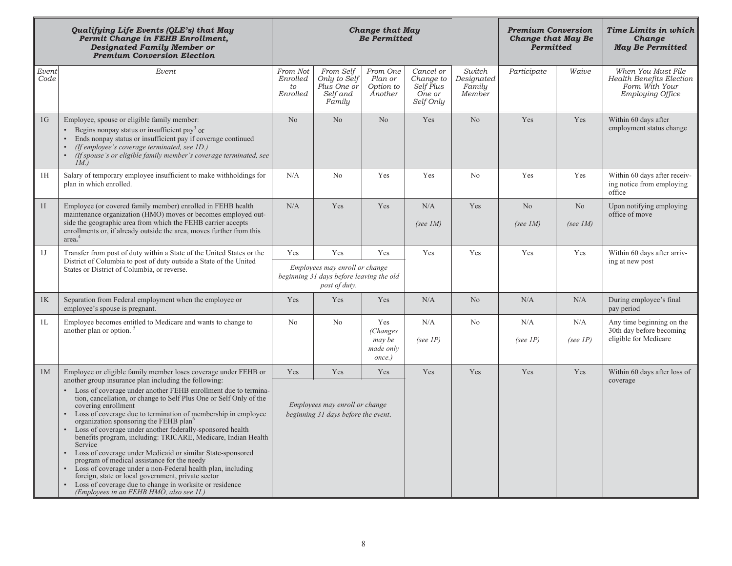|               | Qualifying Life Events (QLE's) that May<br>Permit Change in FEHB Enrollment,<br><b>Designated Family Member or</b><br><b>Premium Conversion Election</b>                                                                                                                                                                                                                                                                                                                                                                                                                                                                                                                                                                                                             |                                        |                                                                                             | <b>Change that May</b><br><b>Be Permitted</b>     |                                                            | <b>Premium Conversion</b><br><b>Change that May Be</b><br>Permitted |                                                                | Time Limits in which<br>Change<br><b>May Be Permitted</b> |                                                                                                    |
|---------------|----------------------------------------------------------------------------------------------------------------------------------------------------------------------------------------------------------------------------------------------------------------------------------------------------------------------------------------------------------------------------------------------------------------------------------------------------------------------------------------------------------------------------------------------------------------------------------------------------------------------------------------------------------------------------------------------------------------------------------------------------------------------|----------------------------------------|---------------------------------------------------------------------------------------------|---------------------------------------------------|------------------------------------------------------------|---------------------------------------------------------------------|----------------------------------------------------------------|-----------------------------------------------------------|----------------------------------------------------------------------------------------------------|
| Event<br>Code | Event                                                                                                                                                                                                                                                                                                                                                                                                                                                                                                                                                                                                                                                                                                                                                                | From Not<br>Enrolled<br>to<br>Enrolled | From Self<br>Only to Self<br>Plus One or<br>Self and<br>Family                              | From One<br>Plan or<br>Option to<br>Another       | Cancel or<br>Change to<br>Self Plus<br>One or<br>Self Only | Switch<br>Designated<br>Family<br>Member                            | Participate                                                    | Waive                                                     | When You Must File<br><b>Health Benefits Election</b><br>Form With Your<br><b>Employing Office</b> |
| 1G            | Employee, spouse or eligible family member:<br>• Begins nonpay status or insufficient pay <sup>3</sup> or<br>Ends nonpay status or insufficient pay if coverage continued<br>(If employee's coverage terminated, see 1D.)<br>(If spouse's or eligible family member's coverage terminated, see<br>$\bullet$<br>IM.                                                                                                                                                                                                                                                                                                                                                                                                                                                   | N <sub>o</sub>                         | N <sub>o</sub>                                                                              | N <sub>o</sub>                                    | N <sub>o</sub><br>Yes<br>Yes                               |                                                                     |                                                                | Yes                                                       | Within 60 days after<br>employment status change                                                   |
| 1H            | Salary of temporary employee insufficient to make withholdings for<br>plan in which enrolled.                                                                                                                                                                                                                                                                                                                                                                                                                                                                                                                                                                                                                                                                        | N/A                                    | No                                                                                          | Yes                                               | Yes                                                        | N <sub>0</sub>                                                      | Yes                                                            | Yes                                                       | Within 60 days after receiv-<br>ing notice from employing<br>office                                |
| 1I            | Employee (or covered family member) enrolled in FEHB health<br>maintenance organization (HMO) moves or becomes employed out-<br>side the geographic area from which the FEHB carrier accepts<br>enrollments or, if already outside the area, moves further from this<br>area. <sup>4</sup>                                                                                                                                                                                                                                                                                                                                                                                                                                                                           | N/A                                    | Yes                                                                                         | Yes                                               | N/A<br>(see $IM$ )                                         | Yes                                                                 | N <sub>o</sub><br>N <sub>o</sub><br>(see $IM$ )<br>(see $IM$ ) |                                                           | Upon notifying employing<br>office of move                                                         |
| 1J            | Transfer from post of duty within a State of the United States or the                                                                                                                                                                                                                                                                                                                                                                                                                                                                                                                                                                                                                                                                                                | Yes                                    | Yes                                                                                         | Yes                                               | Yes                                                        | Yes                                                                 | Yes                                                            | Yes                                                       | Within 60 days after arriv-                                                                        |
|               | District of Columbia to post of duty outside a State of the United<br>States or District of Columbia, or reverse.                                                                                                                                                                                                                                                                                                                                                                                                                                                                                                                                                                                                                                                    |                                        | Employees may enroll or change<br>beginning 31 days before leaving the old<br>post of duty. |                                                   |                                                            |                                                                     |                                                                |                                                           | ing at new post                                                                                    |
| 1K            | Separation from Federal employment when the employee or<br>employee's spouse is pregnant.                                                                                                                                                                                                                                                                                                                                                                                                                                                                                                                                                                                                                                                                            | Yes                                    | Yes                                                                                         | Yes                                               | N/A                                                        | N <sub>o</sub>                                                      | N/A                                                            | N/A                                                       | During employee's final<br>pay period                                                              |
| 1L            | Employee becomes entitled to Medicare and wants to change to<br>another plan or option.                                                                                                                                                                                                                                                                                                                                                                                                                                                                                                                                                                                                                                                                              | No                                     | No                                                                                          | Yes                                               | N/A                                                        | No                                                                  | N/A                                                            | N/A                                                       | Any time beginning on the<br>30th day before becoming                                              |
|               |                                                                                                                                                                                                                                                                                                                                                                                                                                                                                                                                                                                                                                                                                                                                                                      |                                        |                                                                                             | <i>(Changes)</i><br>may be<br>made only<br>once.) | (see $IP$ )                                                |                                                                     | (see $IP$ )                                                    | (see $IP$ )                                               | eligible for Medicare                                                                              |
| 1M            | Employee or eligible family member loses coverage under FEHB or<br>another group insurance plan including the following:                                                                                                                                                                                                                                                                                                                                                                                                                                                                                                                                                                                                                                             | Yes                                    | Yes                                                                                         | Yes                                               | Yes                                                        | Yes                                                                 | Yes                                                            | Yes                                                       | Within 60 days after loss of<br>coverage                                                           |
|               | Loss of coverage under another FEHB enrollment due to termina-<br>tion, cancellation, or change to Self Plus One or Self Only of the<br>covering enrollment<br>Loss of coverage due to termination of membership in employee<br>organization sponsoring the FEHB plan <sup>o</sup><br>Loss of coverage under another federally-sponsored health<br>benefits program, including: TRICARE, Medicare, Indian Health<br>Service<br>Loss of coverage under Medicaid or similar State-sponsored<br>program of medical assistance for the needy<br>Loss of coverage under a non-Federal health plan, including<br>foreign, state or local government, private sector<br>Loss of coverage due to change in worksite or residence<br>(Employees in an FEHB HMO, also see 11.) |                                        | Employees may enroll or change<br>beginning 31 days before the event.                       |                                                   |                                                            |                                                                     |                                                                |                                                           |                                                                                                    |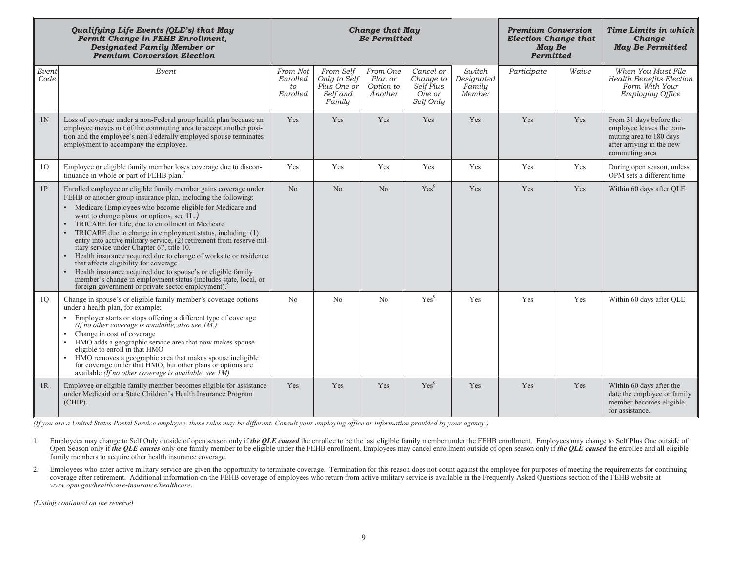|               | Qualifying Life Events (QLE's) that May<br>Permit Change in FEHB Enrollment,<br><b>Designated Family Member or</b><br><b>Premium Conversion Election</b>                                                                                                                                                                                                                                                                                                                                                                                                                                                                                                                                                                                                                                  |                                        |                                                                | <b>Change that May</b><br><b>Be Permitted</b> |                                                            | <b>Premium Conversion</b><br><b>Election Change that</b><br>May Be<br>Permitted |             | Time Limits in which<br>Change<br><b>May Be Permitted</b> |                                                                                                                               |
|---------------|-------------------------------------------------------------------------------------------------------------------------------------------------------------------------------------------------------------------------------------------------------------------------------------------------------------------------------------------------------------------------------------------------------------------------------------------------------------------------------------------------------------------------------------------------------------------------------------------------------------------------------------------------------------------------------------------------------------------------------------------------------------------------------------------|----------------------------------------|----------------------------------------------------------------|-----------------------------------------------|------------------------------------------------------------|---------------------------------------------------------------------------------|-------------|-----------------------------------------------------------|-------------------------------------------------------------------------------------------------------------------------------|
| Event<br>Code | Event                                                                                                                                                                                                                                                                                                                                                                                                                                                                                                                                                                                                                                                                                                                                                                                     | From Not<br>Enrolled<br>to<br>Enrolled | From Self<br>Only to Self<br>Plus One or<br>Self and<br>Family | From One<br>Plan or<br>Option to<br>Another   | Cancel or<br>Change to<br>Self Plus<br>One or<br>Self Only | Switch<br>Designated<br>Family<br>Member                                        | Participate | Waive                                                     | When You Must File<br>Health Benefits Election<br>Form With Your<br><b>Employing Office</b>                                   |
| 1N            | Loss of coverage under a non-Federal group health plan because an<br>employee moves out of the commuting area to accept another posi-<br>tion and the employee's non-Federally employed spouse terminates<br>employment to accompany the employee.                                                                                                                                                                                                                                                                                                                                                                                                                                                                                                                                        | Yes                                    | Yes                                                            | Yes                                           | Yes                                                        | Yes                                                                             | Yes         | Yes                                                       | From 31 days before the<br>employee leaves the com-<br>muting area to 180 days<br>after arriving in the new<br>commuting area |
| 10            | Employee or eligible family member loses coverage due to discon-<br>tinuance in whole or part of FEHB plan. <sup>7</sup>                                                                                                                                                                                                                                                                                                                                                                                                                                                                                                                                                                                                                                                                  | Yes                                    | Yes                                                            | Yes                                           | Yes                                                        | Yes                                                                             | Yes         | Yes                                                       | During open season, unless<br>OPM sets a different time                                                                       |
| 1P            | Enrolled employee or eligible family member gains coverage under<br>FEHB or another group insurance plan, including the following:<br>• Medicare (Employees who become eligible for Medicare and<br>want to change plans or options, see 1L.)<br>TRICARE for Life, due to enrollment in Medicare.<br>TRICARE due to change in employment status, including: (1)<br>entry into active military service, (2) retirement from reserve mil-<br>itary service under Chapter 67, title 10.<br>Health insurance acquired due to change of worksite or residence<br>that affects eligibility for coverage<br>Health insurance acquired due to spouse's or eligible family<br>member's change in employment status (includes state, local, or<br>foreign government or private sector employment). | No                                     | No                                                             | No                                            | Yes <sup>9</sup>                                           | Yes                                                                             | Yes         | Yes                                                       | Within 60 days after QLE                                                                                                      |
| 10            | Change in spouse's or eligible family member's coverage options<br>under a health plan, for example:<br>Employer starts or stops offering a different type of coverage<br>(If no other coverage is available, also see $1\tilde{M}$ .)<br>Change in cost of coverage<br>HMO adds a geographic service area that now makes spouse<br>eligible to enroll in that HMO<br>HMO removes a geographic area that makes spouse ineligible<br>for coverage under that HMO, but other plans or options are<br>available (If no other coverage is available, see $1\overline{M}$ )                                                                                                                                                                                                                    | N <sub>o</sub>                         | N <sub>o</sub>                                                 | No                                            | Yes <sup>9</sup>                                           | Yes                                                                             | Yes<br>Yes  |                                                           | Within 60 days after QLE                                                                                                      |
| 1R            | Employee or eligible family member becomes eligible for assistance<br>under Medicaid or a State Children's Health Insurance Program<br>$(CHIP)$ .                                                                                                                                                                                                                                                                                                                                                                                                                                                                                                                                                                                                                                         | Yes                                    | Yes                                                            | Yes                                           | Yes <sup>9</sup>                                           | Yes                                                                             | Yes         | Yes                                                       | Within 60 days after the<br>date the employee or family<br>member becomes eligible<br>for assistance.                         |

*(If you are a United States Postal Service employee, these rules may be different. Consult your employing office or information provided by your agency.)* 

- 1. Employees may change to Self Only outside of open season only if *the QLE caused* the enrollee to be the last eligible family member under the FEHB enrollment. Employees may change to Self Plus One outside of Open Season only if *the QLE causes* only one family member to be eligible under the FEHB enrollment. Employees may cancel enrollment outside of open season only if *the QLE caused* the enrollee and all eligible family members to acquire other health insurance coverage.
- 2. Employees who enter active military service are given the opportunity to terminate coverage. Termination for this reason does not count against the employee for purposes of meeting the requirements for continuing coverage after retirement. Additional information on the FEHB coverage of employees who return from active military service is available in the Frequently Asked Questions section of the FEHB website at *www.opm.gov/healthcare-insurance/healthcare*.

*(Listing continued on the reverse)*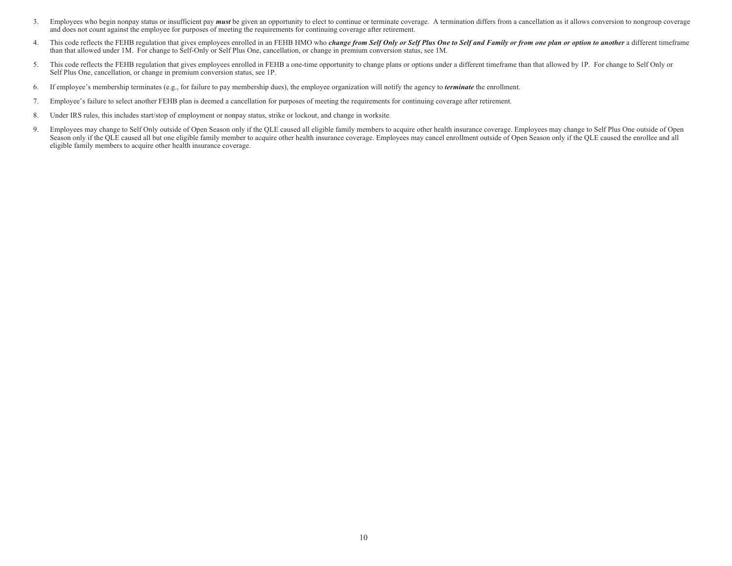- 3. Employees who begin nonpay status or insufficient pay *must* be given an opportunity to elect to continue or terminate coverage. A termination differs from a cancellation as it allows conversion to nongroup coverage and does not count against the employee for purposes of meeting the requirements for continuing coverage after retirement.
- 4. This code reflects the FEHB regulation that gives employees enrolled in an FEHB HMO who *change from Self Only or Self Plus One to Self and Family or from one plan or option to another* a different timeframe than that allowed under 1M. For change to Self-Only or Self Plus One, cancellation, or change in premium conversion status, see 1M.
- 5. This code reflects the FEHB regulation that gives employees enrolled in FEHB a one-time opportunity to change plans or options under a different timeframe than that allowed by 1P. For change to Self Only or Self Plus One, cancellation, or change in premium conversion status, see 1P.
- 6. If employee's membership terminates (e.g., for failure to pay membership dues), the employee organization will notify the agency to *terminate* the enrollment.
- 7. Employee's failure to select another FEHB plan is deemed a cancellation for purposes of meeting the requirements for continuing coverage after retirement.
- 8. Under IRS rules, this includes start/stop of employment or nonpay status, strike or lockout, and change in worksite.
- 9. Employees may change to Self Only outside of Open Season only if the QLE caused all eligible family members to acquire other health insurance coverage. Employees may change to Self Plus One outside of Open Season only if the QLE caused all but one eligible family member to acquire other health insurance coverage. Employees may cancel enrollment outside of Open Season only if the QLE caused the enrollee and all eligible family members to acquire other health insurance coverage.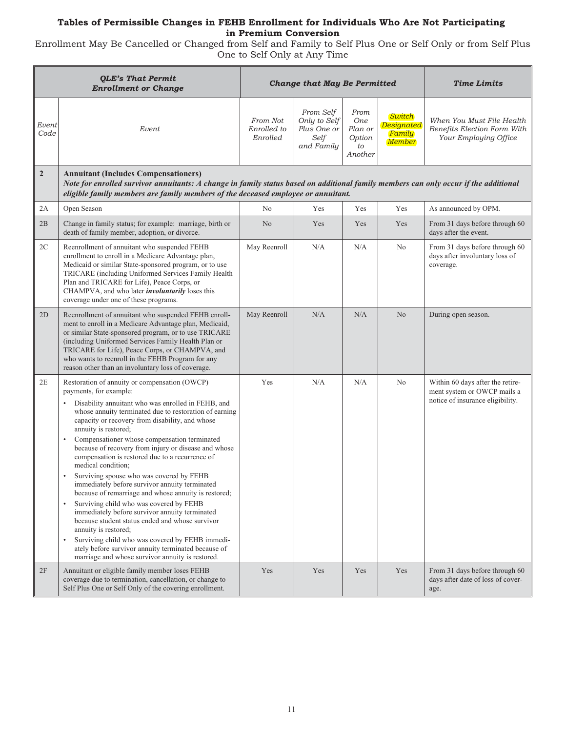### **Tables of Permissible Changes in FEHB Enrollment for Individuals Who Are Not Participating in Premium Conversion**

Enrollment May Be Cancelled or Changed from Self and Family to Self Plus One or Self Only or from Self Plus One to Self Only at Any Time

|                | <b>QLE's That Permit</b><br><b>Enrollment or Change</b>                                                                                                                                                                                                                                                                                                                                                                                                                                                                                                                                                                                                                                                                                                                                                                                                                                                                                         |                                     | <b>Change that May Be Permitted</b>                            |                                                          |                                          | <b>Time Limits</b>                                                                                  |
|----------------|-------------------------------------------------------------------------------------------------------------------------------------------------------------------------------------------------------------------------------------------------------------------------------------------------------------------------------------------------------------------------------------------------------------------------------------------------------------------------------------------------------------------------------------------------------------------------------------------------------------------------------------------------------------------------------------------------------------------------------------------------------------------------------------------------------------------------------------------------------------------------------------------------------------------------------------------------|-------------------------------------|----------------------------------------------------------------|----------------------------------------------------------|------------------------------------------|-----------------------------------------------------------------------------------------------------|
| Event<br>Code  | Event                                                                                                                                                                                                                                                                                                                                                                                                                                                                                                                                                                                                                                                                                                                                                                                                                                                                                                                                           | From Not<br>Enrolled to<br>Enrolled | From Self<br>Only to Self<br>Plus One or<br>Self<br>and Family | From<br><b>One</b><br>Plan or<br>Option<br>to<br>Another | Switch<br>Designated<br>Family<br>Member | When You Must File Health<br>Benefits Election Form With<br>Your Employing Office                   |
| $\overline{2}$ | <b>Annuitant (Includes Compensationers)</b><br>Note for enrolled survivor annuitants: A change in family status based on additional family members can only occur if the additional<br>eligible family members are family members of the deceased employee or annuitant.                                                                                                                                                                                                                                                                                                                                                                                                                                                                                                                                                                                                                                                                        |                                     |                                                                |                                                          |                                          |                                                                                                     |
| 2A             | Open Season                                                                                                                                                                                                                                                                                                                                                                                                                                                                                                                                                                                                                                                                                                                                                                                                                                                                                                                                     | N <sub>o</sub>                      | Yes                                                            | Yes                                                      | Yes                                      | As announced by OPM.                                                                                |
| 2B             | Change in family status; for example: marriage, birth or<br>death of family member, adoption, or divorce.                                                                                                                                                                                                                                                                                                                                                                                                                                                                                                                                                                                                                                                                                                                                                                                                                                       | N <sub>o</sub>                      | Yes                                                            | Yes                                                      | Yes                                      | From 31 days before through 60<br>days after the event.                                             |
| 2C             | Reenrollment of annuitant who suspended FEHB<br>enrollment to enroll in a Medicare Advantage plan,<br>Medicaid or similar State-sponsored program, or to use<br>TRICARE (including Uniformed Services Family Health<br>Plan and TRICARE for Life), Peace Corps, or<br>CHAMPVA, and who later <i>involuntarily</i> loses this<br>coverage under one of these programs.                                                                                                                                                                                                                                                                                                                                                                                                                                                                                                                                                                           | May Reenroll                        | N/A                                                            | N/A                                                      | No                                       | From 31 days before through 60<br>days after involuntary loss of<br>coverage.                       |
| 2D             | Reenrollment of annuitant who suspended FEHB enroll-<br>ment to enroll in a Medicare Advantage plan, Medicaid,<br>or similar State-sponsored program, or to use TRICARE<br>(including Uniformed Services Family Health Plan or<br>TRICARE for Life), Peace Corps, or CHAMPVA, and<br>who wants to reenroll in the FEHB Program for any<br>reason other than an involuntary loss of coverage.                                                                                                                                                                                                                                                                                                                                                                                                                                                                                                                                                    | May Reenroll                        | N/A                                                            | N/A                                                      | N <sub>o</sub>                           | During open season.                                                                                 |
| 2E             | Restoration of annuity or compensation (OWCP)<br>payments, for example:<br>Disability annuitant who was enrolled in FEHB, and<br>whose annuity terminated due to restoration of earning<br>capacity or recovery from disability, and whose<br>annuity is restored;<br>Compensationer whose compensation terminated<br>because of recovery from injury or disease and whose<br>compensation is restored due to a recurrence of<br>medical condition;<br>Surviving spouse who was covered by FEHB<br>immediately before survivor annuity terminated<br>because of remarriage and whose annuity is restored;<br>Surviving child who was covered by FEHB<br>immediately before survivor annuity terminated<br>because student status ended and whose survivor<br>annuity is restored;<br>Surviving child who was covered by FEHB immedi-<br>ately before survivor annuity terminated because of<br>marriage and whose survivor annuity is restored. | Yes                                 | N/A                                                            | N/A                                                      | No                                       | Within 60 days after the retire-<br>ment system or OWCP mails a<br>notice of insurance eligibility. |
| 2F             | Annuitant or eligible family member loses FEHB<br>coverage due to termination, cancellation, or change to<br>Self Plus One or Self Only of the covering enrollment.                                                                                                                                                                                                                                                                                                                                                                                                                                                                                                                                                                                                                                                                                                                                                                             | Yes                                 | Yes                                                            | Yes                                                      | Yes                                      | From 31 days before through 60<br>days after date of loss of cover-<br>age.                         |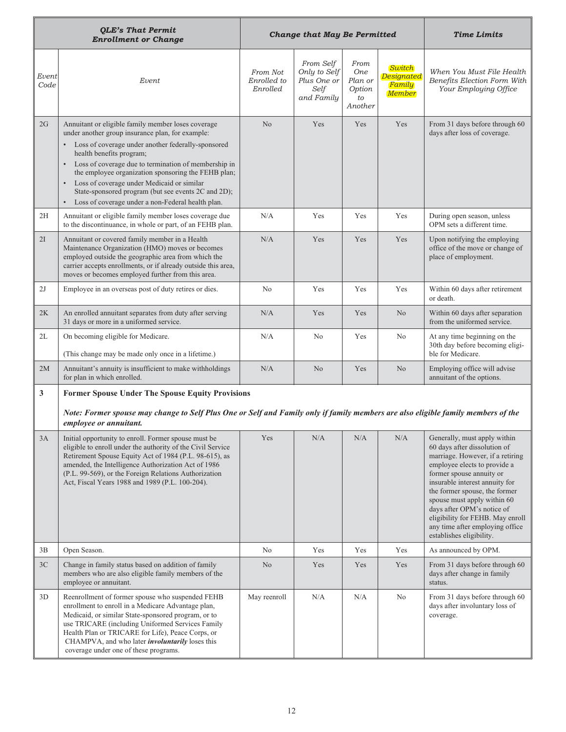|               | <b>QLE's That Permit</b><br><b>Enrollment or Change</b>                                                                                                                                                                                                                                                                                                                                                                                                                                       |                                     | <b>Change that May Be Permitted</b>                            | <b>Time Limits</b>                                       |                                                        |                                                                                                                                                                                                                                                                                                                                                                                                 |  |
|---------------|-----------------------------------------------------------------------------------------------------------------------------------------------------------------------------------------------------------------------------------------------------------------------------------------------------------------------------------------------------------------------------------------------------------------------------------------------------------------------------------------------|-------------------------------------|----------------------------------------------------------------|----------------------------------------------------------|--------------------------------------------------------|-------------------------------------------------------------------------------------------------------------------------------------------------------------------------------------------------------------------------------------------------------------------------------------------------------------------------------------------------------------------------------------------------|--|
| Event<br>Code | Event                                                                                                                                                                                                                                                                                                                                                                                                                                                                                         | From Not<br>Enrolled to<br>Enrolled | From Self<br>Only to Self<br>Plus One or<br>Self<br>and Family | From<br><b>One</b><br>Plan or<br>Option<br>to<br>Another | Switch<br><b>Designated</b><br>Family<br><b>Member</b> | When You Must File Health<br>Benefits Election Form With<br>Your Employing Office                                                                                                                                                                                                                                                                                                               |  |
| 2G            | Annuitant or eligible family member loses coverage<br>under another group insurance plan, for example:<br>Loss of coverage under another federally-sponsored<br>health benefits program;<br>• Loss of coverage due to termination of membership in<br>the employee organization sponsoring the FEHB plan;<br>Loss of coverage under Medicaid or similar<br>$\bullet$<br>State-sponsored program (but see events 2C and 2D);<br>Loss of coverage under a non-Federal health plan.<br>$\bullet$ | No                                  | Yes                                                            | Yes                                                      | Yes                                                    | From 31 days before through 60<br>days after loss of coverage.                                                                                                                                                                                                                                                                                                                                  |  |
| 2H            | Annuitant or eligible family member loses coverage due<br>to the discontinuance, in whole or part, of an FEHB plan.                                                                                                                                                                                                                                                                                                                                                                           | N/A                                 | Yes                                                            | Yes                                                      | Yes                                                    | During open season, unless<br>OPM sets a different time.                                                                                                                                                                                                                                                                                                                                        |  |
| 2I            | Annuitant or covered family member in a Health<br>Maintenance Organization (HMO) moves or becomes<br>employed outside the geographic area from which the<br>carrier accepts enrollments, or if already outside this area,<br>moves or becomes employed further from this area.                                                                                                                                                                                                                | N/A                                 | Yes                                                            | Yes                                                      | Yes                                                    | Upon notifying the employing<br>office of the move or change of<br>place of employment.                                                                                                                                                                                                                                                                                                         |  |
| 2J            | Employee in an overseas post of duty retires or dies.                                                                                                                                                                                                                                                                                                                                                                                                                                         | N <sub>o</sub>                      | Yes                                                            | Yes                                                      | Yes                                                    | Within 60 days after retirement<br>or death.                                                                                                                                                                                                                                                                                                                                                    |  |
| 2K            | An enrolled annuitant separates from duty after serving<br>31 days or more in a uniformed service.                                                                                                                                                                                                                                                                                                                                                                                            | N/A                                 | Yes                                                            | Yes                                                      | N <sub>0</sub>                                         | Within 60 days after separation<br>from the uniformed service.                                                                                                                                                                                                                                                                                                                                  |  |
| 2L            | On becoming eligible for Medicare.<br>(This change may be made only once in a lifetime.)                                                                                                                                                                                                                                                                                                                                                                                                      | N/A                                 | N <sub>0</sub>                                                 | Yes                                                      | N <sub>0</sub>                                         | At any time beginning on the<br>30th day before becoming eligi-<br>ble for Medicare.                                                                                                                                                                                                                                                                                                            |  |
| 2M            | Annuitant's annuity is insufficient to make withholdings<br>for plan in which enrolled.                                                                                                                                                                                                                                                                                                                                                                                                       | N/A                                 | N <sub>0</sub>                                                 | Yes                                                      | N <sub>o</sub>                                         | Employing office will advise<br>annuitant of the options.                                                                                                                                                                                                                                                                                                                                       |  |
| 3             | <b>Former Spouse Under The Spouse Equity Provisions</b><br>Note: Former spouse may change to Self Plus One or Self and Family only if family members are also eligible family members of the<br>employee or annuitant.                                                                                                                                                                                                                                                                        |                                     |                                                                |                                                          |                                                        |                                                                                                                                                                                                                                                                                                                                                                                                 |  |
| 3A            | Initial opportunity to enroll. Former spouse must be<br>eligible to enroll under the authority of the Civil Service<br>Retirement Spouse Equity Act of 1984 (P.L. 98-615), as<br>amended, the Intelligence Authorization Act of 1986<br>(P.L. 99-569), or the Foreign Relations Authorization<br>Act, Fiscal Years 1988 and 1989 (P.L. 100-204).                                                                                                                                              | Yes                                 | N/A                                                            | N/A                                                      | $\rm N/A$                                              | Generally, must apply within<br>60 days after dissolution of<br>marriage. However, if a retiring<br>employee elects to provide a<br>former spouse annuity or<br>insurable interest annuity for<br>the former spouse, the former<br>spouse must apply within 60<br>days after OPM's notice of<br>eligibility for FEHB. May enroll<br>any time after employing office<br>establishes eligibility. |  |
| 3B            | Open Season.                                                                                                                                                                                                                                                                                                                                                                                                                                                                                  | N <sub>o</sub>                      | Yes                                                            | Yes                                                      | Yes                                                    | As announced by OPM.                                                                                                                                                                                                                                                                                                                                                                            |  |
| 3C            | Change in family status based on addition of family<br>members who are also eligible family members of the<br>employee or annuitant.                                                                                                                                                                                                                                                                                                                                                          | N <sub>o</sub>                      | Yes                                                            | Yes                                                      | Yes                                                    | From 31 days before through 60<br>days after change in family<br>status.                                                                                                                                                                                                                                                                                                                        |  |
| 3D            | Reenrollment of former spouse who suspended FEHB<br>enrollment to enroll in a Medicare Advantage plan,<br>Medicaid, or similar State-sponsored program, or to<br>use TRICARE (including Uniformed Services Family<br>Health Plan or TRICARE for Life), Peace Corps, or<br>CHAMPVA, and who later <i>involuntarily</i> loses this<br>coverage under one of these programs.                                                                                                                     | May reenroll                        | N/A                                                            | N/A                                                      | No                                                     | From 31 days before through 60<br>days after involuntary loss of<br>coverage.                                                                                                                                                                                                                                                                                                                   |  |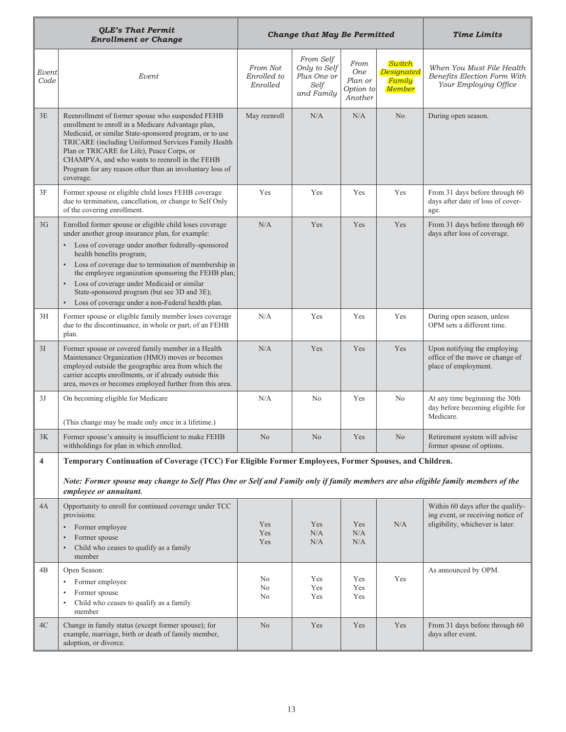|                         | <b>QLE's That Permit</b><br><b>Enrollment or Change</b>                                                                                                                                                                                                                                                                                                                                                                                                                                                |                                     | <b>Change that May Be Permitted</b>                            | <b>Time Limits</b>                                    |                                                        |                                                                                                            |  |
|-------------------------|--------------------------------------------------------------------------------------------------------------------------------------------------------------------------------------------------------------------------------------------------------------------------------------------------------------------------------------------------------------------------------------------------------------------------------------------------------------------------------------------------------|-------------------------------------|----------------------------------------------------------------|-------------------------------------------------------|--------------------------------------------------------|------------------------------------------------------------------------------------------------------------|--|
| Event<br>Code           | Event                                                                                                                                                                                                                                                                                                                                                                                                                                                                                                  | From Not<br>Enrolled to<br>Enrolled | From Self<br>Only to Self<br>Plus One or<br>Self<br>and Family | From<br><b>One</b><br>Plan or<br>Option to<br>Another | Switch<br><b>Designated</b><br>Family<br><b>Member</b> | When You Must File Health<br>Benefits Election Form With<br>Your Employing Office                          |  |
| 3E                      | Reenrollment of former spouse who suspended FEHB<br>enrollment to enroll in a Medicare Advantage plan,<br>Medicaid, or similar State-sponsored program, or to use<br>TRICARE (including Uniformed Services Family Health<br>Plan or TRICARE for Life), Peace Corps, or<br>CHAMPVA, and who wants to reenroll in the FEHB<br>Program for any reason other than an involuntary loss of<br>coverage.                                                                                                      | May reenroll                        | N/A                                                            | N/A                                                   | N <sub>o</sub>                                         | During open season.                                                                                        |  |
| 3F                      | Former spouse or eligible child loses FEHB coverage<br>due to termination, cancellation, or change to Self Only<br>of the covering enrollment.                                                                                                                                                                                                                                                                                                                                                         | Yes                                 | Yes                                                            | Yes                                                   | Yes                                                    | From 31 days before through 60<br>days after date of loss of cover-<br>age.                                |  |
| 3 <sub>G</sub>          | Enrolled former spouse or eligible child loses coverage<br>under another group insurance plan, for example:<br>Loss of coverage under another federally-sponsored<br>health benefits program;<br>Loss of coverage due to termination of membership in<br>$\bullet$<br>the employee organization sponsoring the FEHB plan;<br>Loss of coverage under Medicaid or similar<br>$\bullet$<br>State-sponsored program (but see 3D and 3E);<br>Loss of coverage under a non-Federal health plan.<br>$\bullet$ | N/A                                 | Yes                                                            | Yes                                                   | Yes                                                    | From 31 days before through 60<br>days after loss of coverage.                                             |  |
| 3H                      | Former spouse or eligible family member loses coverage<br>due to the discontinuance, in whole or part, of an FEHB<br>plan.                                                                                                                                                                                                                                                                                                                                                                             | N/A                                 | Yes                                                            | Yes                                                   | Yes                                                    | During open season, unless<br>OPM sets a different time.                                                   |  |
| 3I                      | Former spouse or covered family member in a Health<br>Maintenance Organization (HMO) moves or becomes<br>employed outside the geographic area from which the<br>carrier accepts enrollments, or if already outside this<br>area, moves or becomes employed further from this area.                                                                                                                                                                                                                     | N/A                                 | Yes                                                            | Yes                                                   | Yes                                                    | Upon notifying the employing<br>office of the move or change of<br>place of employment.                    |  |
| 3J                      | On becoming eligible for Medicare<br>(This change may be made only once in a lifetime.)                                                                                                                                                                                                                                                                                                                                                                                                                | N/A                                 | N <sub>0</sub>                                                 | Yes                                                   | No                                                     | At any time beginning the 30th<br>day before becoming eligible for<br>Medicare.                            |  |
| 3K                      | Former spouse's annuity is insufficient to make FEHB<br>withholdings for plan in which enrolled.                                                                                                                                                                                                                                                                                                                                                                                                       | N <sub>o</sub>                      | N <sub>0</sub>                                                 | Yes                                                   | N <sub>o</sub>                                         | Retirement system will advise<br>former spouse of options.                                                 |  |
| $\overline{\mathbf{4}}$ | Temporary Continuation of Coverage (TCC) For Eligible Former Employees, Former Spouses, and Children.                                                                                                                                                                                                                                                                                                                                                                                                  |                                     |                                                                |                                                       |                                                        |                                                                                                            |  |
|                         | Note: Former spouse may change to Self Plus One or Self and Family only if family members are also eligible family members of the<br>employee or annuitant.                                                                                                                                                                                                                                                                                                                                            |                                     |                                                                |                                                       |                                                        |                                                                                                            |  |
| 4A                      | Opportunity to enroll for continued coverage under TCC<br>provisions:<br>Former employee<br>Former spouse<br>Child who ceases to qualify as a family<br>member                                                                                                                                                                                                                                                                                                                                         | Yes<br>Yes<br>Yes                   | Yes<br>N/A<br>N/A                                              | Yes<br>N/A<br>N/A                                     | N/A                                                    | Within 60 days after the qualify-<br>ing event, or receiving notice of<br>eligibility, whichever is later. |  |
| 4B                      | Open Season:<br>Former employee<br>Former spouse<br>Child who ceases to qualify as a family<br>member                                                                                                                                                                                                                                                                                                                                                                                                  | No<br>No<br>No                      | Yes<br>Yes<br>Yes                                              | Yes<br>Yes<br>Yes                                     | Yes                                                    | As announced by OPM.                                                                                       |  |
| 4C                      | Change in family status (except former spouse); for<br>example, marriage, birth or death of family member,<br>adoption, or divorce.                                                                                                                                                                                                                                                                                                                                                                    | N <sub>o</sub>                      | Yes                                                            | Yes                                                   | Yes                                                    | From 31 days before through 60<br>days after event.                                                        |  |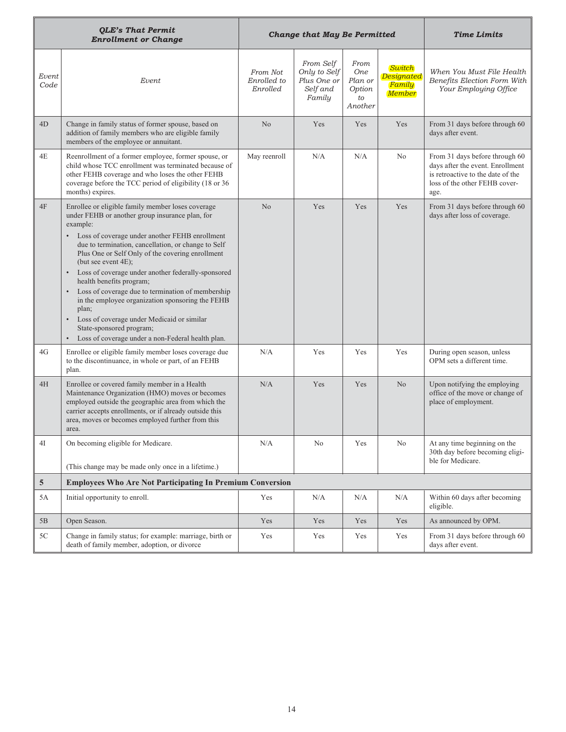|               | <b>QLE's That Permit</b><br><b>Enrollment or Change</b>                                                                                                                                                                                                                                                                                                                                                                                                                                                                                                                                                                                                                        |                                     | <b>Change that May Be Permitted</b>                            | <b>Time Limits</b>                                       |                                                 |                                                                                                                                                  |  |
|---------------|--------------------------------------------------------------------------------------------------------------------------------------------------------------------------------------------------------------------------------------------------------------------------------------------------------------------------------------------------------------------------------------------------------------------------------------------------------------------------------------------------------------------------------------------------------------------------------------------------------------------------------------------------------------------------------|-------------------------------------|----------------------------------------------------------------|----------------------------------------------------------|-------------------------------------------------|--------------------------------------------------------------------------------------------------------------------------------------------------|--|
| Event<br>Code | Event                                                                                                                                                                                                                                                                                                                                                                                                                                                                                                                                                                                                                                                                          | From Not<br>Enrolled to<br>Enrolled | From Self<br>Only to Self<br>Plus One or<br>Self and<br>Family | From<br><b>One</b><br>Plan or<br>Option<br>to<br>Another | Switch<br>Designated<br>Family<br><b>Member</b> | When You Must File Health<br>Benefits Election Form With<br>Your Employing Office                                                                |  |
| 4D            | Change in family status of former spouse, based on<br>addition of family members who are eligible family<br>members of the employee or annuitant.                                                                                                                                                                                                                                                                                                                                                                                                                                                                                                                              | N <sub>o</sub>                      | Yes                                                            | Yes                                                      | Yes                                             | From 31 days before through 60<br>days after event.                                                                                              |  |
| 4E            | Reenrollment of a former employee, former spouse, or<br>child whose TCC enrollment was terminated because of<br>other FEHB coverage and who loses the other FEHB<br>coverage before the TCC period of eligibility (18 or 36<br>months) expires.                                                                                                                                                                                                                                                                                                                                                                                                                                | May reenroll                        | N/A                                                            | N/A                                                      | No                                              | From 31 days before through 60<br>days after the event. Enrollment<br>is retroactive to the date of the<br>loss of the other FEHB cover-<br>age. |  |
| 4F            | Enrollee or eligible family member loses coverage<br>under FEHB or another group insurance plan, for<br>example:<br>Loss of coverage under another FEHB enrollment<br>due to termination, cancellation, or change to Self<br>Plus One or Self Only of the covering enrollment<br>(but see event 4E);<br>Loss of coverage under another federally-sponsored<br>health benefits program;<br>Loss of coverage due to termination of membership<br>$\bullet$<br>in the employee organization sponsoring the FEHB<br>plan;<br>Loss of coverage under Medicaid or similar<br>$\bullet$<br>State-sponsored program;<br>Loss of coverage under a non-Federal health plan.<br>$\bullet$ | N <sub>o</sub>                      | Yes                                                            | Yes                                                      | Yes                                             | From 31 days before through 60<br>days after loss of coverage.                                                                                   |  |
| 4G            | Enrollee or eligible family member loses coverage due<br>to the discontinuance, in whole or part, of an FEHB<br>plan.                                                                                                                                                                                                                                                                                                                                                                                                                                                                                                                                                          | N/A                                 | Yes                                                            | Yes                                                      | Yes                                             | During open season, unless<br>OPM sets a different time.                                                                                         |  |
| 4H            | Enrollee or covered family member in a Health<br>Maintenance Organization (HMO) moves or becomes<br>employed outside the geographic area from which the<br>carrier accepts enrollments, or if already outside this<br>area, moves or becomes employed further from this<br>area.                                                                                                                                                                                                                                                                                                                                                                                               | N/A                                 | Yes                                                            | Yes                                                      | No                                              | Upon notifying the employing<br>office of the move or change of<br>place of employment.                                                          |  |
| 4I            | On becoming eligible for Medicare.<br>(This change may be made only once in a lifetime.)                                                                                                                                                                                                                                                                                                                                                                                                                                                                                                                                                                                       | N/A                                 | No                                                             | Yes                                                      | No                                              | At any time beginning on the<br>30th day before becoming eligi-<br>ble for Medicare.                                                             |  |
| $\sqrt{5}$    | <b>Employees Who Are Not Participating In Premium Conversion</b>                                                                                                                                                                                                                                                                                                                                                                                                                                                                                                                                                                                                               |                                     |                                                                |                                                          |                                                 |                                                                                                                                                  |  |
| 5A            | Initial opportunity to enroll.                                                                                                                                                                                                                                                                                                                                                                                                                                                                                                                                                                                                                                                 | Yes                                 | N/A                                                            | N/A                                                      | N/A                                             | Within 60 days after becoming<br>eligible.                                                                                                       |  |
| 5B            | Open Season.                                                                                                                                                                                                                                                                                                                                                                                                                                                                                                                                                                                                                                                                   | Yes                                 | Yes                                                            | Yes                                                      | Yes                                             | As announced by OPM.                                                                                                                             |  |
| 5C            | Change in family status; for example: marriage, birth or<br>death of family member, adoption, or divorce                                                                                                                                                                                                                                                                                                                                                                                                                                                                                                                                                                       | Yes                                 | Yes                                                            | Yes                                                      | Yes                                             | From 31 days before through 60<br>days after event.                                                                                              |  |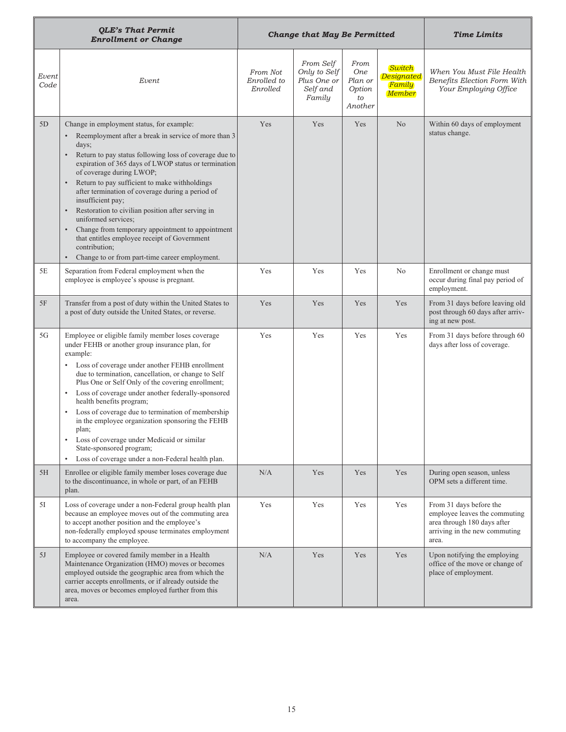|               | <b>QLE's That Permit</b><br><b>Enrollment or Change</b>                                                                                                                                                                                                                                                                                                                                                                                                                                                                                                                                                                                                                      |                                     | <b>Change that May Be Permitted</b>                            | <b>Time Limits</b>                                       |                                                 |                                                                                                                                   |  |  |
|---------------|------------------------------------------------------------------------------------------------------------------------------------------------------------------------------------------------------------------------------------------------------------------------------------------------------------------------------------------------------------------------------------------------------------------------------------------------------------------------------------------------------------------------------------------------------------------------------------------------------------------------------------------------------------------------------|-------------------------------------|----------------------------------------------------------------|----------------------------------------------------------|-------------------------------------------------|-----------------------------------------------------------------------------------------------------------------------------------|--|--|
| Event<br>Code | Event                                                                                                                                                                                                                                                                                                                                                                                                                                                                                                                                                                                                                                                                        | From Not<br>Enrolled to<br>Enrolled | From Self<br>Only to Self<br>Plus One or<br>Self and<br>Family | From<br><b>One</b><br>Plan or<br>Option<br>to<br>Another | Switch<br>Designated<br>Family<br><b>Member</b> | When You Must File Health<br>Benefits Election Form With<br>Your Employing Office                                                 |  |  |
| 5D            | Change in employment status, for example:<br>Reemployment after a break in service of more than 3<br>$\bullet$<br>days;<br>Return to pay status following loss of coverage due to<br>expiration of 365 days of LWOP status or termination<br>of coverage during LWOP;<br>Return to pay sufficient to make withholdings<br>after termination of coverage during a period of<br>insufficient pay;<br>Restoration to civilian position after serving in<br>uniformed services;<br>Change from temporary appointment to appointment<br>$\bullet$<br>that entitles employee receipt of Government<br>contribution;<br>Change to or from part-time career employment.<br>$\bullet$ | Yes                                 | Yes                                                            | Yes                                                      | N <sub>o</sub>                                  | Within 60 days of employment<br>status change.                                                                                    |  |  |
| 5E            | Separation from Federal employment when the<br>employee is employee's spouse is pregnant.                                                                                                                                                                                                                                                                                                                                                                                                                                                                                                                                                                                    | Yes                                 | Yes                                                            | Yes                                                      | No                                              | Enrollment or change must<br>occur during final pay period of<br>employment.                                                      |  |  |
| 5F            | Transfer from a post of duty within the United States to<br>a post of duty outside the United States, or reverse.                                                                                                                                                                                                                                                                                                                                                                                                                                                                                                                                                            | Yes                                 | Yes                                                            | Yes                                                      | Yes                                             | From 31 days before leaving old<br>post through 60 days after arriv-<br>ing at new post.                                          |  |  |
| 5G            | Employee or eligible family member loses coverage<br>under FEHB or another group insurance plan, for<br>example:<br>Loss of coverage under another FEHB enrollment<br>due to termination, cancellation, or change to Self<br>Plus One or Self Only of the covering enrollment;<br>Loss of coverage under another federally-sponsored<br>$\bullet$<br>health benefits program;<br>Loss of coverage due to termination of membership<br>٠<br>in the employee organization sponsoring the FEHB<br>plan;<br>Loss of coverage under Medicaid or similar<br>$\bullet$<br>State-sponsored program;<br>Loss of coverage under a non-Federal health plan.<br>٠                        | Yes                                 | Yes                                                            | Yes                                                      | Yes                                             | From 31 days before through 60<br>days after loss of coverage.                                                                    |  |  |
| 5H            | Enrollee or eligible family member loses coverage due<br>to the discontinuance, in whole or part, of an FEHB<br>plan.                                                                                                                                                                                                                                                                                                                                                                                                                                                                                                                                                        | N/A                                 | Yes                                                            | Yes                                                      | Yes                                             | During open season, unless<br>OPM sets a different time.                                                                          |  |  |
| 51            | Loss of coverage under a non-Federal group health plan<br>because an employee moves out of the commuting area<br>to accept another position and the employee's<br>non-federally employed spouse terminates employment<br>to accompany the employee.                                                                                                                                                                                                                                                                                                                                                                                                                          | Yes                                 | Yes                                                            | Yes                                                      | Yes                                             | From 31 days before the<br>employee leaves the commuting<br>area through 180 days after<br>arriving in the new commuting<br>area. |  |  |
| 5J            | Employee or covered family member in a Health<br>Maintenance Organization (HMO) moves or becomes<br>employed outside the geographic area from which the<br>carrier accepts enrollments, or if already outside the<br>area, moves or becomes employed further from this<br>area.                                                                                                                                                                                                                                                                                                                                                                                              | N/A                                 | Yes                                                            | Yes                                                      | Yes                                             | Upon notifying the employing<br>office of the move or change of<br>place of employment.                                           |  |  |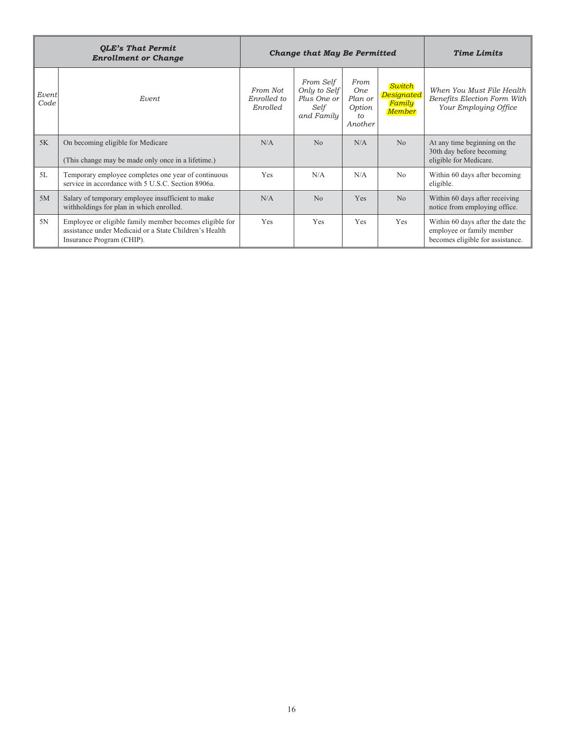|               | <b>QLE's That Permit</b><br><b>Enrollment or Change</b>                                                                                        |                                     | <b>Change that May Be Permitted</b>                            | <b>Time Limits</b>                                                 |                                                 |                                                                                                    |  |
|---------------|------------------------------------------------------------------------------------------------------------------------------------------------|-------------------------------------|----------------------------------------------------------------|--------------------------------------------------------------------|-------------------------------------------------|----------------------------------------------------------------------------------------------------|--|
| Event<br>Code | Event                                                                                                                                          | From Not<br>Enrolled to<br>Enrolled | From Self<br>Only to Self<br>Plus One or<br>Self<br>and Family | From<br><b>One</b><br>Plan or<br>Option<br>$t_{\Omega}$<br>Another | Switch<br>Designated<br>Family<br><b>Member</b> | When You Must File Health<br>Benefits Election Form With<br>Your Employing Office                  |  |
| 5K            | On becoming eligible for Medicare<br>(This change may be made only once in a lifetime.)                                                        | N/A                                 | No                                                             | N/A                                                                | No                                              | At any time beginning on the<br>30th day before becoming<br>eligible for Medicare.                 |  |
| 5L            | Temporary employee completes one year of continuous<br>service in accordance with 5 U.S.C. Section 8906a.                                      | Yes                                 | N/A                                                            | N/A                                                                | No                                              | Within 60 days after becoming<br>eligible.                                                         |  |
| 5M            | Salary of temporary employee insufficient to make<br>withholdings for plan in which enrolled.                                                  | N/A                                 | No                                                             | Yes                                                                | No                                              | Within 60 days after receiving<br>notice from employing office.                                    |  |
| 5N            | Employee or eligible family member becomes eligible for<br>assistance under Medicaid or a State Children's Health<br>Insurance Program (CHIP). | Yes                                 | Yes                                                            | Yes                                                                | Yes                                             | Within 60 days after the date the<br>employee or family member<br>becomes eligible for assistance. |  |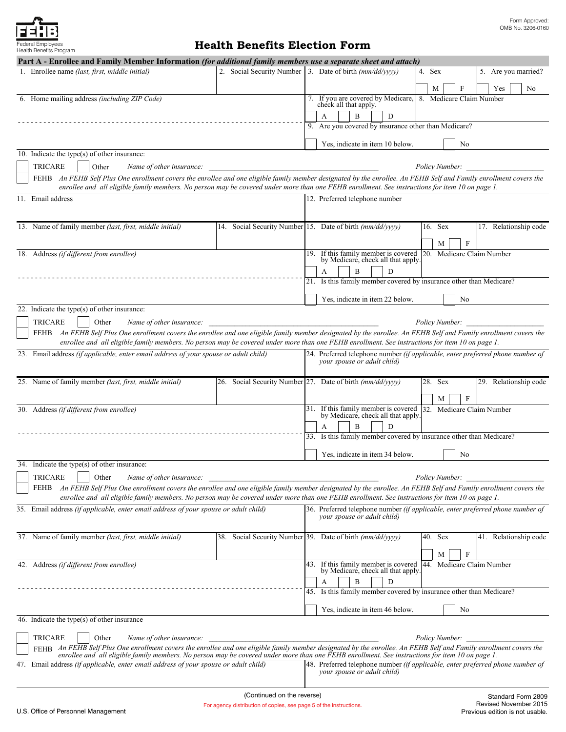# **Health Benefits Election Form**

| Health Benefits Program                                                                                                                                                                                                                                                                                                  |                                                                                                                                                 |     |                                                             |  |   |                                    |  |         |                |                       |              |                                                                                                  |                                                                                |                                                                                |
|--------------------------------------------------------------------------------------------------------------------------------------------------------------------------------------------------------------------------------------------------------------------------------------------------------------------------|-------------------------------------------------------------------------------------------------------------------------------------------------|-----|-------------------------------------------------------------|--|---|------------------------------------|--|---------|----------------|-----------------------|--------------|--------------------------------------------------------------------------------------------------|--------------------------------------------------------------------------------|--------------------------------------------------------------------------------|
| Part A - Enrollee and Family Member Information (for additional family members use a separate sheet and attach)<br>1. Enrollee name (last, first, middle initial)                                                                                                                                                        | 2. Social Security Number 3. Date of birth $\frac{mm}{dd/vvv}$                                                                                  |     |                                                             |  |   |                                    |  | 4. Sex  |                |                       |              |                                                                                                  | 5. Are you married?                                                            |                                                                                |
|                                                                                                                                                                                                                                                                                                                          |                                                                                                                                                 |     |                                                             |  |   |                                    |  |         |                |                       |              |                                                                                                  |                                                                                |                                                                                |
|                                                                                                                                                                                                                                                                                                                          |                                                                                                                                                 |     |                                                             |  |   |                                    |  | М       |                |                       |              |                                                                                                  | Yes                                                                            | No                                                                             |
| 6. Home mailing address (including ZIP Code)                                                                                                                                                                                                                                                                             |                                                                                                                                                 |     | 7. If you are covered by Medicare,<br>check all that apply. |  |   |                                    |  |         |                |                       |              | 8. Medicare Claim Number                                                                         |                                                                                |                                                                                |
|                                                                                                                                                                                                                                                                                                                          |                                                                                                                                                 |     | A                                                           |  | B | D                                  |  |         |                |                       |              |                                                                                                  |                                                                                |                                                                                |
|                                                                                                                                                                                                                                                                                                                          |                                                                                                                                                 |     | 9. Are you covered by insurance other than Medicare?        |  |   |                                    |  |         |                |                       |              |                                                                                                  |                                                                                |                                                                                |
|                                                                                                                                                                                                                                                                                                                          |                                                                                                                                                 |     |                                                             |  |   | Yes, indicate in item 10 below.    |  |         |                | No                    |              |                                                                                                  |                                                                                |                                                                                |
| 10. Indicate the type(s) of other insurance:                                                                                                                                                                                                                                                                             |                                                                                                                                                 |     |                                                             |  |   |                                    |  |         |                |                       |              |                                                                                                  |                                                                                |                                                                                |
| <b>TRICARE</b><br>Other<br>Name of other insurance:                                                                                                                                                                                                                                                                      |                                                                                                                                                 |     |                                                             |  |   |                                    |  |         |                | <i>Policy Number:</i> |              |                                                                                                  |                                                                                |                                                                                |
| FEHB An FEHB Self Plus One enrollment covers the enrollee and one eligible family member designated by the enrollee. An FEHB Self and Family enrollment covers the<br>enrollee and all eligible family members. No person may be covered under more than one FEHB enrollment. See instructions for item 10 on page 1.    |                                                                                                                                                 |     |                                                             |  |   |                                    |  |         |                |                       |              |                                                                                                  |                                                                                |                                                                                |
| 11. Email address                                                                                                                                                                                                                                                                                                        |                                                                                                                                                 |     | 12. Preferred telephone number                              |  |   |                                    |  |         |                |                       |              |                                                                                                  |                                                                                |                                                                                |
|                                                                                                                                                                                                                                                                                                                          |                                                                                                                                                 |     |                                                             |  |   |                                    |  |         |                |                       |              |                                                                                                  |                                                                                |                                                                                |
| 13. Name of family member (last, first, middle initial)                                                                                                                                                                                                                                                                  | 14. Social Security Number 15. Date of birth (mm/dd/yyyy)                                                                                       |     |                                                             |  |   |                                    |  | 16. Sex |                |                       |              |                                                                                                  | 17. Relationship code                                                          |                                                                                |
|                                                                                                                                                                                                                                                                                                                          |                                                                                                                                                 |     |                                                             |  |   |                                    |  |         |                |                       |              |                                                                                                  |                                                                                |                                                                                |
| 18. Address (if different from enrollee)                                                                                                                                                                                                                                                                                 |                                                                                                                                                 | 19. |                                                             |  |   |                                    |  |         | М              |                       | $\mathbf{F}$ |                                                                                                  |                                                                                |                                                                                |
|                                                                                                                                                                                                                                                                                                                          |                                                                                                                                                 |     |                                                             |  |   |                                    |  |         |                |                       |              | If this family member is covered 20. Medicare Claim Number<br>by Medicare, check all that apply. |                                                                                |                                                                                |
|                                                                                                                                                                                                                                                                                                                          |                                                                                                                                                 |     | А                                                           |  | B | D                                  |  |         |                |                       |              |                                                                                                  |                                                                                |                                                                                |
|                                                                                                                                                                                                                                                                                                                          |                                                                                                                                                 |     |                                                             |  |   |                                    |  |         |                |                       |              | 21. Is this family member covered by insurance other than Medicare?                              |                                                                                |                                                                                |
|                                                                                                                                                                                                                                                                                                                          |                                                                                                                                                 |     |                                                             |  |   | Yes, indicate in item 22 below.    |  |         |                | N <sub>0</sub>        |              |                                                                                                  |                                                                                |                                                                                |
| 22. Indicate the type(s) of other insurance:                                                                                                                                                                                                                                                                             |                                                                                                                                                 |     |                                                             |  |   |                                    |  |         |                |                       |              |                                                                                                  |                                                                                |                                                                                |
| <b>TRICARE</b><br>Other<br>Name of other insurance:                                                                                                                                                                                                                                                                      |                                                                                                                                                 |     |                                                             |  |   |                                    |  |         |                | Policy Number:        |              |                                                                                                  |                                                                                |                                                                                |
| An FEHB Self Plus One enrollment covers the enrollee and one eligible family member designated by the enrollee. An FEHB Self and Family enrollment covers the<br>FEHB<br>enrollee and all eligible family members. No person may be covered under more than one FEHB enrollment. See instructions for item 10 on page 1. |                                                                                                                                                 |     |                                                             |  |   |                                    |  |         |                |                       |              |                                                                                                  |                                                                                |                                                                                |
| 23. Email address (if applicable, enter email address of your spouse or adult child)                                                                                                                                                                                                                                     |                                                                                                                                                 |     |                                                             |  |   |                                    |  |         |                |                       |              |                                                                                                  | 24. Preferred telephone number (if applicable, enter preferred phone number of |                                                                                |
|                                                                                                                                                                                                                                                                                                                          |                                                                                                                                                 |     | your spouse or adult child)                                 |  |   |                                    |  |         |                |                       |              |                                                                                                  |                                                                                |                                                                                |
| 25. Name of family member (last, first, middle initial)                                                                                                                                                                                                                                                                  | 26. Social Security Number 27. Date of birth (mm/dd/yyyy)                                                                                       |     |                                                             |  |   |                                    |  | 28. Sex |                |                       |              |                                                                                                  | 29. Relationship code                                                          |                                                                                |
|                                                                                                                                                                                                                                                                                                                          |                                                                                                                                                 |     |                                                             |  |   |                                    |  |         | М              |                       | $\mathbf{F}$ |                                                                                                  |                                                                                |                                                                                |
| 30. Address (if different from enrollee)                                                                                                                                                                                                                                                                                 |                                                                                                                                                 |     |                                                             |  |   |                                    |  |         |                |                       |              | 31. If this family member is covered 32. Medicare Claim Number                                   |                                                                                |                                                                                |
|                                                                                                                                                                                                                                                                                                                          |                                                                                                                                                 |     |                                                             |  |   | by Medicare, check all that apply. |  |         |                |                       |              |                                                                                                  |                                                                                |                                                                                |
|                                                                                                                                                                                                                                                                                                                          |                                                                                                                                                 |     | А                                                           |  | B | D                                  |  |         |                |                       |              | 33. Is this family member covered by insurance other than Medicare?                              |                                                                                |                                                                                |
|                                                                                                                                                                                                                                                                                                                          |                                                                                                                                                 |     |                                                             |  |   |                                    |  |         |                |                       |              |                                                                                                  |                                                                                |                                                                                |
|                                                                                                                                                                                                                                                                                                                          |                                                                                                                                                 |     |                                                             |  |   | Yes, indicate in item 34 below.    |  |         |                | No                    |              |                                                                                                  |                                                                                |                                                                                |
| Indicate the type(s) of other insurance:                                                                                                                                                                                                                                                                                 |                                                                                                                                                 |     |                                                             |  |   |                                    |  |         |                |                       |              |                                                                                                  |                                                                                |                                                                                |
| <b>TRICARE</b><br>Other<br>Name of other insurance:                                                                                                                                                                                                                                                                      |                                                                                                                                                 |     |                                                             |  |   |                                    |  |         | Policy Number: |                       |              |                                                                                                  |                                                                                |                                                                                |
| An FEHB Self Plus One enrollment covers the enrollee and one eligible family member designated by the enrollee. An FEHB Self and Family enrollment covers the<br>FEHB<br>enrollee and all eligible family members. No person may be covered under more than one FEHB enrollment. See instructions for item 10 on page 1. |                                                                                                                                                 |     |                                                             |  |   |                                    |  |         |                |                       |              |                                                                                                  |                                                                                |                                                                                |
| 35. Email address (if applicable, enter email address of your spouse or adult child)                                                                                                                                                                                                                                     |                                                                                                                                                 |     |                                                             |  |   |                                    |  |         |                |                       |              |                                                                                                  | 36. Preferred telephone number (if applicable, enter preferred phone number of |                                                                                |
|                                                                                                                                                                                                                                                                                                                          |                                                                                                                                                 |     |                                                             |  |   | your spouse or adult child)        |  |         |                |                       |              |                                                                                                  |                                                                                |                                                                                |
| 37. Name of family member (last, first, middle initial)                                                                                                                                                                                                                                                                  | 38. Social Security Number 39. Date of birth (mm/dd/yyyy)                                                                                       |     |                                                             |  |   |                                    |  | 40. Sex |                |                       |              |                                                                                                  | 41. Relationship code                                                          |                                                                                |
|                                                                                                                                                                                                                                                                                                                          |                                                                                                                                                 |     |                                                             |  |   |                                    |  |         |                |                       |              |                                                                                                  |                                                                                |                                                                                |
|                                                                                                                                                                                                                                                                                                                          |                                                                                                                                                 |     |                                                             |  |   |                                    |  |         | М              |                       | F            |                                                                                                  |                                                                                |                                                                                |
| 42. Address (if different from enrollee)                                                                                                                                                                                                                                                                                 |                                                                                                                                                 |     |                                                             |  |   | by Medicare, check all that apply. |  |         |                |                       |              | 43. If this family member is covered 44. Medicare Claim Number                                   |                                                                                |                                                                                |
|                                                                                                                                                                                                                                                                                                                          |                                                                                                                                                 |     | А                                                           |  | B | D                                  |  |         |                |                       |              |                                                                                                  |                                                                                |                                                                                |
|                                                                                                                                                                                                                                                                                                                          |                                                                                                                                                 |     |                                                             |  |   |                                    |  |         |                |                       |              | 45. Is this family member covered by insurance other than Medicare?                              |                                                                                |                                                                                |
|                                                                                                                                                                                                                                                                                                                          |                                                                                                                                                 |     |                                                             |  |   | Yes, indicate in item 46 below.    |  |         |                | No                    |              |                                                                                                  |                                                                                |                                                                                |
| 46. Indicate the type(s) of other insurance                                                                                                                                                                                                                                                                              |                                                                                                                                                 |     |                                                             |  |   |                                    |  |         |                |                       |              |                                                                                                  |                                                                                |                                                                                |
|                                                                                                                                                                                                                                                                                                                          |                                                                                                                                                 |     |                                                             |  |   |                                    |  |         |                |                       |              |                                                                                                  |                                                                                |                                                                                |
| <b>TRICARE</b><br>Other<br>Name of other insurance:<br>FEHB An FEHB Self Plus One enrollment covers the enrollee and one eligible family member designated by the enrollee. An FEHB Self and Family enrollment covers the                                                                                                |                                                                                                                                                 |     |                                                             |  |   |                                    |  |         |                | Policy Number:        |              |                                                                                                  |                                                                                |                                                                                |
|                                                                                                                                                                                                                                                                                                                          |                                                                                                                                                 |     |                                                             |  |   |                                    |  |         |                |                       |              |                                                                                                  |                                                                                |                                                                                |
|                                                                                                                                                                                                                                                                                                                          | enrollee and all eligible family members. No person may be covered under more than one FEHB enrollment. See instructions for item 10 on page 1. |     |                                                             |  |   |                                    |  |         |                |                       |              |                                                                                                  |                                                                                |                                                                                |
| 47. Email address (if applicable, enter email address of your spouse or adult child)                                                                                                                                                                                                                                     |                                                                                                                                                 |     |                                                             |  |   |                                    |  |         |                |                       |              |                                                                                                  |                                                                                |                                                                                |
|                                                                                                                                                                                                                                                                                                                          |                                                                                                                                                 |     |                                                             |  |   | your spouse or adult child)        |  |         |                |                       |              |                                                                                                  |                                                                                | 48. Preferred telephone number (if applicable, enter preferred phone number of |